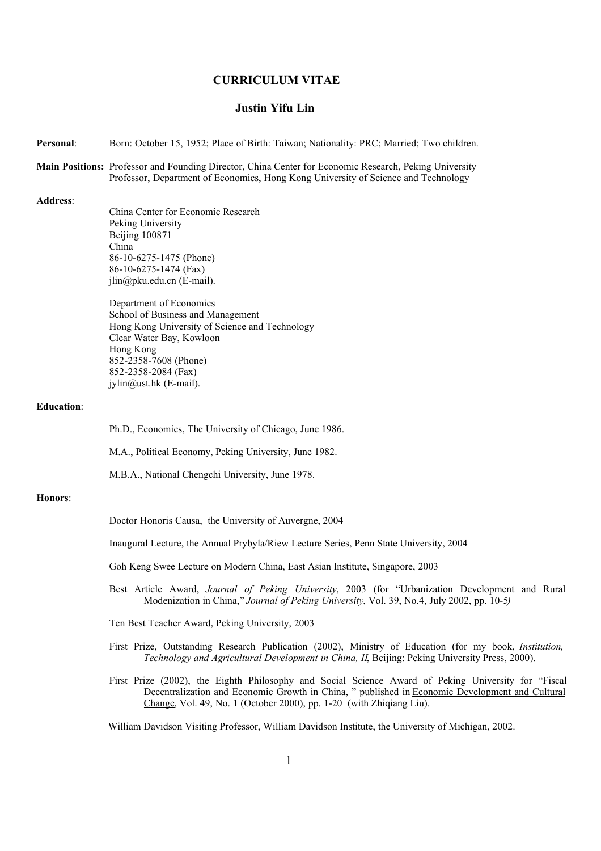# **CURRICULUM VITAE**

# **Justin Yifu Lin**

- **Personal**: Born: October 15, 1952; Place of Birth: Taiwan; Nationality: PRC; Married; Two children.
- **Main Positions:** Professor and Founding Director, China Center for Economic Research, Peking University Professor, Department of Economics, Hong Kong University of Science and Technology

**Address**:

China Center for Economic Research Peking University Beijing 100871 China 86-10-6275-1475 (Phone) 86-10-6275-1474 (Fax) jlin@pku.edu.cn (E-mail).

Department of Economics School of Business and Management Hong Kong University of Science and Technology Clear Water Bay, Kowloon Hong Kong 852-2358-7608 (Phone) 852-2358-2084 (Fax) jylin@ust.hk (E-mail).

### **Education**:

Ph.D., Economics, The University of Chicago, June 1986.

M.A., Political Economy, Peking University, June 1982.

M.B.A., National Chengchi University, June 1978.

### **Honors**:

Doctor Honoris Causa, the University of Auvergne, 2004

Inaugural Lecture, the Annual Prybyla/Riew Lecture Series, Penn State University, 2004

Goh Keng Swee Lecture on Modern China, East Asian Institute, Singapore, 2003

Best Article Award, *Journal of Peking University*, 2003 (for "Urbanization Development and Rural Modenization in China," *Journal of Peking University*, Vol. 39, No.4, July 2002, pp. 10-5*)*

Ten Best Teacher Award, Peking University, 2003

- First Prize, Outstanding Research Publication (2002), Ministry of Education (for my book, *Institution, Technology and Agricultural Development in China, II*, Beijing: Peking University Press, 2000).
- First Prize (2002), the Eighth Philosophy and Social Science Award of Peking University for "Fiscal Decentralization and Economic Growth in China, " published in Economic Development and Cultural Change, Vol. 49, No. 1 (October 2000), pp. 1-20 (with Zhiqiang Liu).

William Davidson Visiting Professor, William Davidson Institute, the University of Michigan, 2002.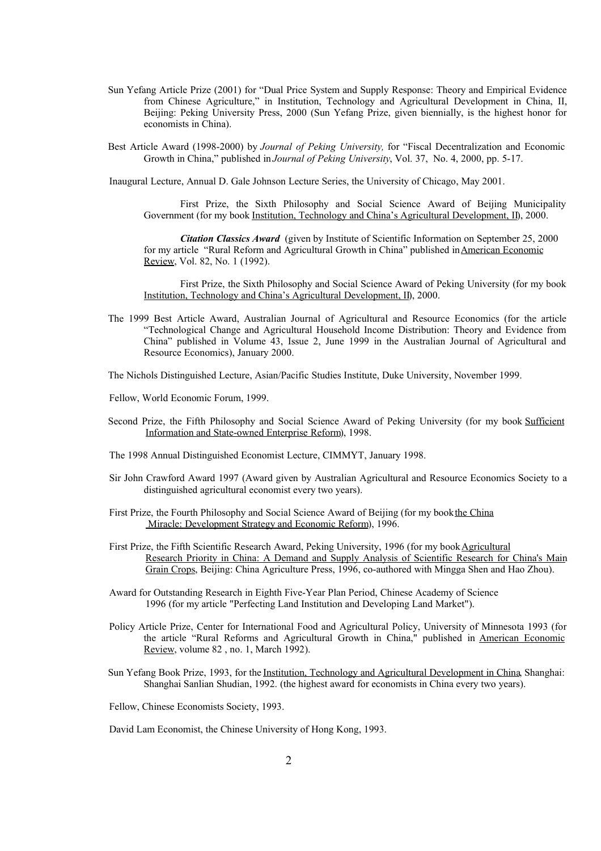Sun Yefang Article Prize (2001) for "Dual Price System and Supply Response: Theory and Empirical Evidence from Chinese Agriculture," in Institution, Technology and Agricultural Development in China, II, Beijing: Peking University Press, 2000 (Sun Yefang Prize, given biennially, is the highest honor for economists in China).

Best Article Award (1998-2000) by *Journal of Peking University,* for "Fiscal Decentralization and Economic Growth in China," published in *Journal of Peking University*, Vol. 37, No. 4, 2000, pp. 5-17.

Inaugural Lecture, Annual D. Gale Johnson Lecture Series, the University of Chicago, May 2001.

First Prize, the Sixth Philosophy and Social Science Award of Beijing Municipality Government (for my book Institution, Technology and China's Agricultural Development, II), 2000.

*Citation Classics Award* (given by Institute of Scientific Information on September 25, 2000 for my article "Rural Reform and Agricultural Growth in China" published inAmerican Economic Review, Vol. 82, No. 1 (1992).

First Prize, the Sixth Philosophy and Social Science Award of Peking University (for my book Institution, Technology and China's Agricultural Development, II), 2000.

The 1999 Best Article Award, Australian Journal of Agricultural and Resource Economics (for the article "Technological Change and Agricultural Household Income Distribution: Theory and Evidence from China" published in Volume 43, Issue 2, June 1999 in the Australian Journal of Agricultural and Resource Economics), January 2000.

The Nichols Distinguished Lecture, Asian/Pacific Studies Institute, Duke University, November 1999.

Fellow, World Economic Forum, 1999.

Second Prize, the Fifth Philosophy and Social Science Award of Peking University (for my book Sufficient Information and State-owned Enterprise Reform), 1998.

The 1998 Annual Distinguished Economist Lecture, CIMMYT, January 1998.

- Sir John Crawford Award 1997 (Award given by Australian Agricultural and Resource Economics Society to a distinguished agricultural economist every two years).
- First Prize, the Fourth Philosophy and Social Science Award of Beijing (for my bookthe China Miracle: Development Strategy and Economic Reform), 1996.
- First Prize, the Fifth Scientific Research Award, Peking University, 1996 (for my book Agricultural Research Priority in China: A Demand and Supply Analysis of Scientific Research for China's Main Grain Crops, Beijing: China Agriculture Press, 1996, co-authored with Mingga Shen and Hao Zhou).
- Award for Outstanding Research in Eighth Five-Year Plan Period, Chinese Academy of Science 1996 (for my article "Perfecting Land Institution and Developing Land Market").
- Policy Article Prize, Center for International Food and Agricultural Policy, University of Minnesota 1993 (for the article "Rural Reforms and Agricultural Growth in China," published in American Economic Review, volume 82 , no. 1, March 1992).
- Sun Yefang Book Prize, 1993, for the Institution, Technology and Agricultural Development in China, Shanghai: Shanghai Sanlian Shudian, 1992. (the highest award for economists in China every two years).

Fellow, Chinese Economists Society, 1993.

David Lam Economist, the Chinese University of Hong Kong, 1993.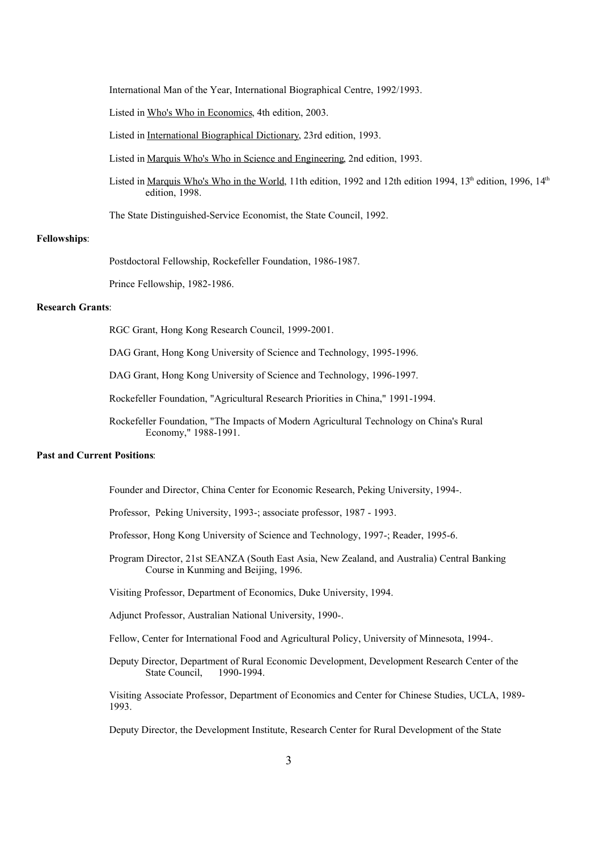International Man of the Year, International Biographical Centre, 1992/1993.

Listed in Who's Who in Economics, 4th edition, 2003.

Listed in International Biographical Dictionary, 23rd edition, 1993.

Listed in Marquis Who's Who in Science and Engineering, 2nd edition, 1993.

Listed in <u>Marquis Who's Who in the World</u>, 11th edition, 1992 and 12th edition 1994, 13<sup>th</sup> edition, 1996, 14<sup>th</sup> edition, 1998.

The State Distinguished-Service Economist, the State Council, 1992.

# **Fellowships**:

Postdoctoral Fellowship, Rockefeller Foundation, 1986-1987.

Prince Fellowship, 1982-1986.

## **Research Grants**:

RGC Grant, Hong Kong Research Council, 1999-2001.

DAG Grant, Hong Kong University of Science and Technology, 1995-1996.

DAG Grant, Hong Kong University of Science and Technology, 1996-1997.

Rockefeller Foundation, "Agricultural Research Priorities in China," 1991-1994.

Rockefeller Foundation, "The Impacts of Modern Agricultural Technology on China's Rural Economy," 1988-1991.

### **Past and Current Positions**:

Founder and Director, China Center for Economic Research, Peking University, 1994-.

Professor, Peking University, 1993-; associate professor, 1987 - 1993.

Professor, Hong Kong University of Science and Technology, 1997-; Reader, 1995-6.

Program Director, 21st SEANZA (South East Asia, New Zealand, and Australia) Central Banking Course in Kunming and Beijing, 1996.

Visiting Professor, Department of Economics, Duke University, 1994.

Adjunct Professor, Australian National University, 1990-.

Fellow, Center for International Food and Agricultural Policy, University of Minnesota, 1994-.

Deputy Director, Department of Rural Economic Development, Development Research Center of the State Council, 1990-1994.

Visiting Associate Professor, Department of Economics and Center for Chinese Studies, UCLA, 1989- 1993.

Deputy Director, the Development Institute, Research Center for Rural Development of the State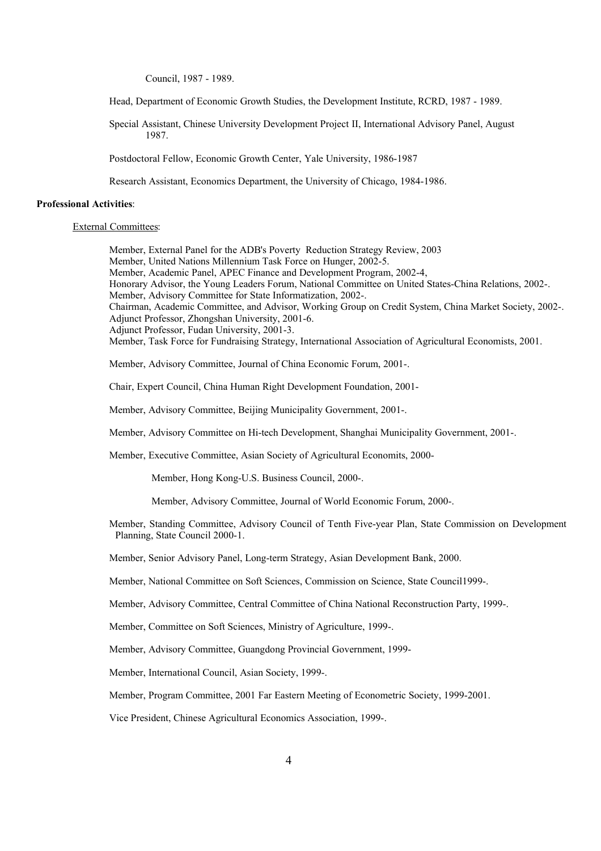Council, 1987 - 1989.

Head, Department of Economic Growth Studies, the Development Institute, RCRD, 1987 - 1989.

Special Assistant, Chinese University Development Project II, International Advisory Panel, August 1987.

Postdoctoral Fellow, Economic Growth Center, Yale University, 1986-1987

Research Assistant, Economics Department, the University of Chicago, 1984-1986.

### **Professional Activities**:

External Committees:

Member, External Panel for the ADB's Poverty Reduction Strategy Review, 2003 Member, United Nations Millennium Task Force on Hunger, 2002-5. Member, Academic Panel, APEC Finance and Development Program, 2002-4, Honorary Advisor, the Young Leaders Forum, National Committee on United States-China Relations, 2002-. Member, Advisory Committee for State Informatization, 2002-. Chairman, Academic Committee, and Advisor, Working Group on Credit System, China Market Society, 2002-. Adjunct Professor, Zhongshan University, 2001-6. Adjunct Professor, Fudan University, 2001-3. Member, Task Force for Fundraising Strategy, International Association of Agricultural Economists, 2001. Member, Advisory Committee, Journal of China Economic Forum, 2001-.

Chair, Expert Council, China Human Right Development Foundation, 2001-

Member, Advisory Committee, Beijing Municipality Government, 2001-.

Member, Advisory Committee on Hi-tech Development, Shanghai Municipality Government, 2001-.

Member, Executive Committee, Asian Society of Agricultural Economits, 2000-

Member, Hong Kong-U.S. Business Council, 2000-.

Member, Advisory Committee, Journal of World Economic Forum, 2000-.

Member, Standing Committee, Advisory Council of Tenth Five-year Plan, State Commission on Development Planning, State Council 2000-1.

Member, Senior Advisory Panel, Long-term Strategy, Asian Development Bank, 2000.

Member, National Committee on Soft Sciences, Commission on Science, State Council1999-.

Member, Advisory Committee, Central Committee of China National Reconstruction Party, 1999-.

Member, Committee on Soft Sciences, Ministry of Agriculture, 1999-.

Member, Advisory Committee, Guangdong Provincial Government, 1999-

Member, International Council, Asian Society, 1999-.

Member, Program Committee, 2001 Far Eastern Meeting of Econometric Society, 1999-2001.

Vice President, Chinese Agricultural Economics Association, 1999-.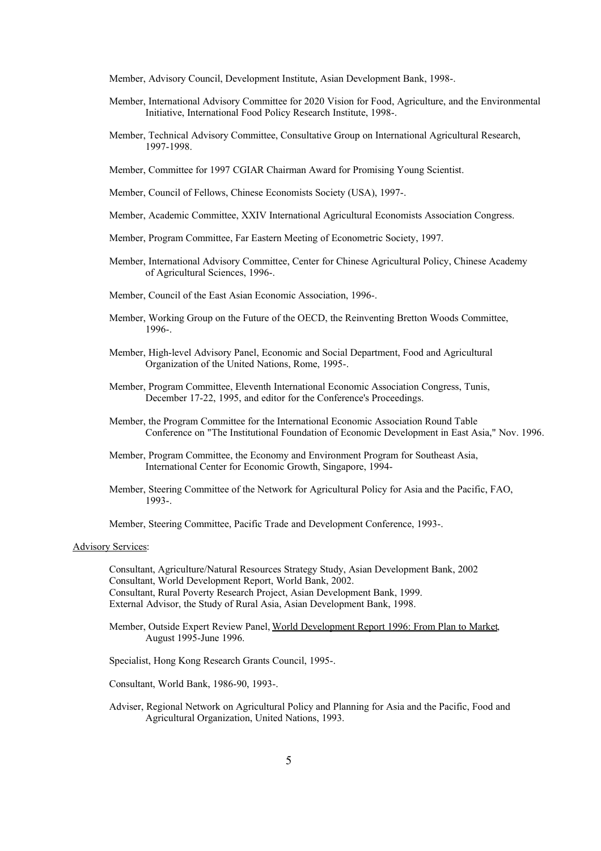Member, Advisory Council, Development Institute, Asian Development Bank, 1998-.

- Member, International Advisory Committee for 2020 Vision for Food, Agriculture, and the Environmental Initiative, International Food Policy Research Institute, 1998-.
- Member, Technical Advisory Committee, Consultative Group on International Agricultural Research, 1997-1998.
- Member, Committee for 1997 CGIAR Chairman Award for Promising Young Scientist.
- Member, Council of Fellows, Chinese Economists Society (USA), 1997-.
- Member, Academic Committee, XXIV International Agricultural Economists Association Congress.
- Member, Program Committee, Far Eastern Meeting of Econometric Society, 1997.
- Member, International Advisory Committee, Center for Chinese Agricultural Policy, Chinese Academy of Agricultural Sciences, 1996-.
- Member, Council of the East Asian Economic Association, 1996-.
- Member, Working Group on the Future of the OECD, the Reinventing Bretton Woods Committee, 1996-.
- Member, High-level Advisory Panel, Economic and Social Department, Food and Agricultural Organization of the United Nations, Rome, 1995-.
- Member, Program Committee, Eleventh International Economic Association Congress, Tunis, December 17-22, 1995, and editor for the Conference's Proceedings.
- Member, the Program Committee for the International Economic Association Round Table Conference on "The Institutional Foundation of Economic Development in East Asia," Nov. 1996.
- Member, Program Committee, the Economy and Environment Program for Southeast Asia, International Center for Economic Growth, Singapore, 1994-
- Member, Steering Committee of the Network for Agricultural Policy for Asia and the Pacific, FAO, 1993-.

Member, Steering Committee, Pacific Trade and Development Conference, 1993-.

### Advisory Services:

Consultant, Agriculture/Natural Resources Strategy Study, Asian Development Bank, 2002 Consultant, World Development Report, World Bank, 2002. Consultant, Rural Poverty Research Project, Asian Development Bank, 1999. External Advisor, the Study of Rural Asia, Asian Development Bank, 1998.

Member, Outside Expert Review Panel, World Development Report 1996: From Plan to Market, August 1995-June 1996.

Specialist, Hong Kong Research Grants Council, 1995-.

Consultant, World Bank, 1986-90, 1993-.

Adviser, Regional Network on Agricultural Policy and Planning for Asia and the Pacific, Food and Agricultural Organization, United Nations, 1993.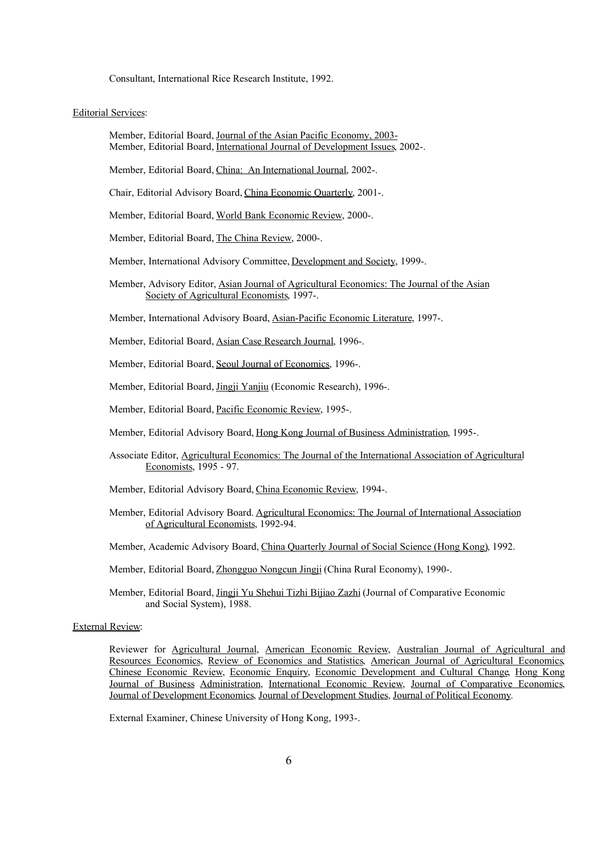Consultant, International Rice Research Institute, 1992.

#### Editorial Services:

- Member, Editorial Board, Journal of the Asian Pacific Economy, 2003- Member, Editorial Board, International Journal of Development Issues, 2002-.
- Member, Editorial Board, China: An International Journal, 2002-.
- Chair, Editorial Advisory Board, China Economic Quarterly, 2001-.
- Member, Editorial Board, World Bank Economic Review, 2000-.
- Member, Editorial Board, The China Review, 2000-.
- Member, International Advisory Committee, Development and Society, 1999-.
- Member, Advisory Editor, Asian Journal of Agricultural Economics: The Journal of the Asian Society of Agricultural Economists, 1997-.
- Member, International Advisory Board, Asian-Pacific Economic Literature, 1997-.
- Member, Editorial Board, Asian Case Research Journal, 1996-.
- Member, Editorial Board, Seoul Journal of Economics, 1996-.
- Member, Editorial Board, Jingji Yanjiu (Economic Research), 1996-.
- Member, Editorial Board, Pacific Economic Review, 1995-.
- Member, Editorial Advisory Board, Hong Kong Journal of Business Administration, 1995-.
- Associate Editor, Agricultural Economics: The Journal of the International Association of Agricultural Economists, 1995 - 97.
- Member, Editorial Advisory Board, China Economic Review, 1994-.
- Member, Editorial Advisory Board. Agricultural Economics: The Journal of International Association of Agricultural Economists, 1992-94.
- Member, Academic Advisory Board, China Quarterly Journal of Social Science (Hong Kong), 1992.
- Member, Editorial Board, Zhongguo Nongcun Jingji (China Rural Economy), 1990-.
- Member, Editorial Board, Jingji Yu Shehui Tizhi Bijiao Zazhi (Journal of Comparative Economic and Social System), 1988.

### External Review:

Reviewer for Agricultural Journal, American Economic Review, Australian Journal of Agricultural and Resources Economics, Review of Economics and Statistics, American Journal of Agricultural Economics, Chinese Economic Review, Economic Enquiry, Economic Development and Cultural Change, Hong Kong Journal of Business Administration, International Economic Review, Journal of Comparative Economics, Journal of Development Economics, Journal of Development Studies, Journal of Political Economy.

External Examiner, Chinese University of Hong Kong, 1993-.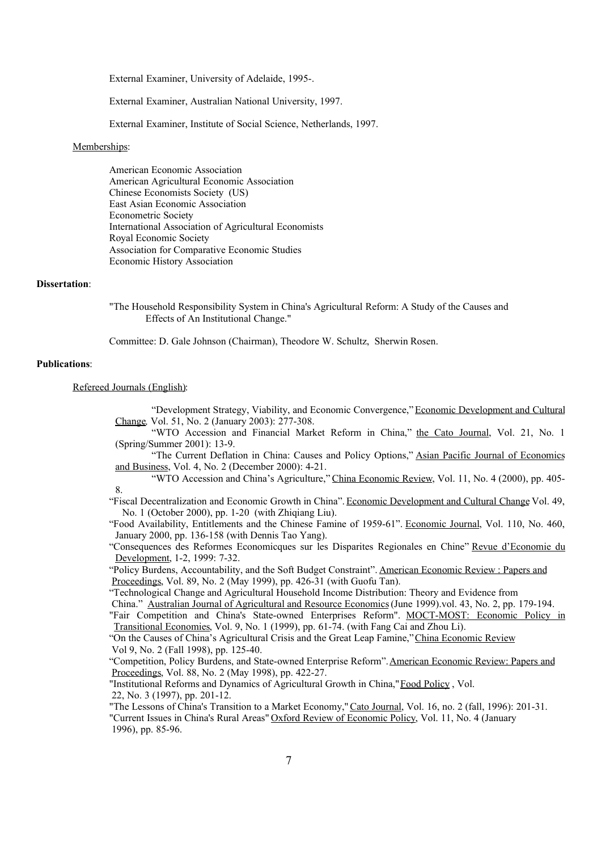External Examiner, University of Adelaide, 1995-.

External Examiner, Australian National University, 1997.

External Examiner, Institute of Social Science, Netherlands, 1997.

#### Memberships:

American Economic Association American Agricultural Economic Association Chinese Economists Society (US) East Asian Economic Association Econometric Society International Association of Agricultural Economists Royal Economic Society Association for Comparative Economic Studies Economic History Association

## **Dissertation**:

"The Household Responsibility System in China's Agricultural Reform: A Study of the Causes and Effects of An Institutional Change."

Committee: D. Gale Johnson (Chairman), Theodore W. Schultz, Sherwin Rosen.

# **Publications**:

Refereed Journals (English):

"Development Strategy, Viability, and Economic Convergence,"Economic Development and Cultural Change*,* Vol. 51, No. 2 (January 2003): 277-308.

- "WTO Accession and Financial Market Reform in China," the Cato Journal, Vol. 21, No. 1 (Spring/Summer 2001): 13-9.
- "The Current Deflation in China: Causes and Policy Options," Asian Pacific Journal of Economics and Business, Vol. 4, No. 2 (December 2000): 4-21.

"WTO Accession and China's Agriculture," China Economic Review, Vol. 11, No. 4 (2000), pp. 405- 8.

"Fiscal Decentralization and Economic Growth in China". Economic Development and Cultural Change Vol. 49, No. 1 (October 2000), pp. 1-20 (with Zhiqiang Liu).

"Food Availability, Entitlements and the Chinese Famine of 1959-61". Economic Journal, Vol. 110, No. 460, January 2000, pp. 136-158 (with Dennis Tao Yang).

"Consequences des Reformes Economicques sur les Disparites Regionales en Chine" Revue d'Economie du Development, 1-2, 1999: 7-32.

"Policy Burdens, Accountability, and the Soft Budget Constraint". American Economic Review : Papers and Proceedings, Vol. 89, No. 2 (May 1999), pp. 426-31 (with Guofu Tan).

"Technological Change and Agricultural Household Income Distribution: Theory and Evidence from

China." Australian Journal of Agricultural and Resource Economics (June 1999).vol. 43, No. 2, pp. 179-194.

"Fair Competition and China's State-owned Enterprises Reform". MOCT-MOST: Economic Policy in Transitional Economies, Vol. 9, No. 1 (1999), pp. 61-74. (with Fang Cai and Zhou Li).

"On the Causes of China's Agricultural Crisis and the Great Leap Famine,"China Economic Review Vol 9, No. 2 (Fall 1998), pp. 125-40.

"Competition, Policy Burdens, and State-owned Enterprise Reform". American Economic Review: Papers and Proceedings, Vol. 88, No. 2 (May 1998), pp. 422-27.

"Institutional Reforms and Dynamics of Agricultural Growth in China,"Food Policy , Vol. 22, No. 3 (1997), pp. 201-12.

"The Lessons of China's Transition to a Market Economy,"Cato Journal, Vol. 16, no. 2 (fall, 1996): 201-31. "Current Issues in China's Rural Areas" Oxford Review of Economic Policy, Vol. 11, No. 4 (January 1996), pp. 85-96.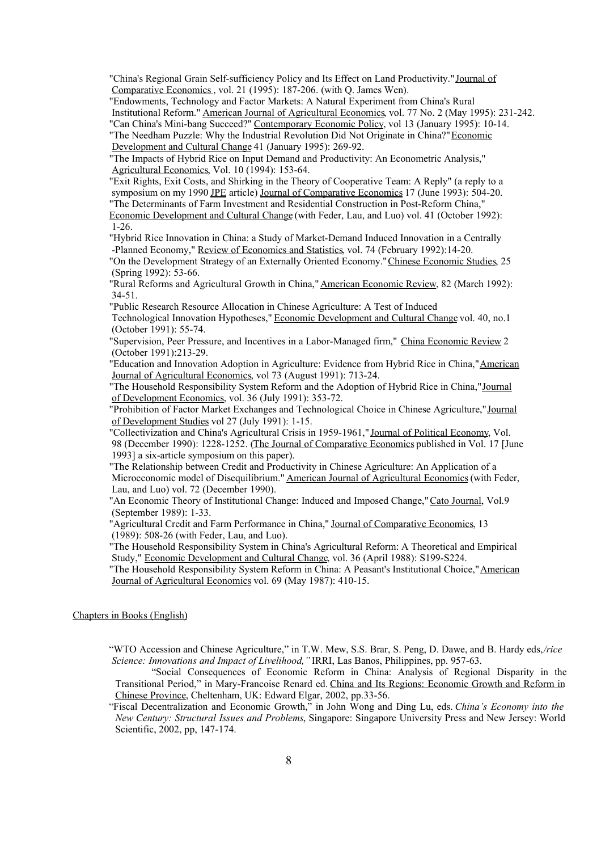"China's Regional Grain Self-sufficiency Policy and Its Effect on Land Productivity."Journal of Comparative Economics, vol. 21 (1995): 187-206. (with Q. James Wen).

"Endowments, Technology and Factor Markets: A Natural Experiment from China's Rural Institutional Reform." American Journal of Agricultural Economics, vol. 77 No. 2 (May 1995): 231-242. "Can China's Mini-bang Succeed?" Contemporary Economic Policy, vol 13 (January 1995): 10-14. "The Needham Puzzle: Why the Industrial Revolution Did Not Originate in China?" Economic

Development and Cultural Change 41 (January 1995): 269-92.

"The Impacts of Hybrid Rice on Input Demand and Productivity: An Econometric Analysis," Agricultural Economics, Vol. 10 (1994): 153-64.

"Exit Rights, Exit Costs, and Shirking in the Theory of Cooperative Team: A Reply" (a reply to a symposium on my 1990 JPE article) Journal of Comparative Economics 17 (June 1993): 504-20. "The Determinants of Farm Investment and Residential Construction in Post-Reform China,"

Economic Development and Cultural Change (with Feder, Lau, and Luo) vol. 41 (October 1992): 1-26.

"Hybrid Rice Innovation in China: a Study of Market-Demand Induced Innovation in a Centrally -Planned Economy," Review of Economics and Statistics, vol. 74 (February 1992):14-20.

"On the Development Strategy of an Externally Oriented Economy."Chinese Economic Studies, 25 (Spring 1992): 53-66.

"Rural Reforms and Agricultural Growth in China,"American Economic Review, 82 (March 1992): 34-51.

"Public Research Resource Allocation in Chinese Agriculture: A Test of Induced

Technological Innovation Hypotheses," Economic Development and Cultural Change vol. 40, no.1 (October 1991): 55-74.

"Supervision, Peer Pressure, and Incentives in a Labor-Managed firm," China Economic Review 2 (October 1991):213-29.

"Education and Innovation Adoption in Agriculture: Evidence from Hybrid Rice in China,"American Journal of Agricultural Economics, vol 73 (August 1991): 713-24.

"The Household Responsibility System Reform and the Adoption of Hybrid Rice in China,"Journal of Development Economics, vol. 36 (July 1991): 353-72.

"Prohibition of Factor Market Exchanges and Technological Choice in Chinese Agriculture,"Journal of Development Studies vol 27 (July 1991): 1-15.

"Collectivization and China's Agricultural Crisis in 1959-1961," Journal of Political Economy, Vol. 98 (December 1990): 1228-1252. (The Journal of Comparative Economics published in Vol. 17 [June 1993] a six-article symposium on this paper).

"The Relationship between Credit and Productivity in Chinese Agriculture: An Application of a Microeconomic model of Disequilibrium." American Journal of Agricultural Economics (with Feder, Lau, and Luo) vol. 72 (December 1990).

"An Economic Theory of Institutional Change: Induced and Imposed Change,"Cato Journal, Vol.9 (September 1989): 1-33.

"Agricultural Credit and Farm Performance in China," Journal of Comparative Economics, 13 (1989): 508-26 (with Feder, Lau, and Luo).

"The Household Responsibility System in China's Agricultural Reform: A Theoretical and Empirical Study," Economic Development and Cultural Change, vol. 36 (April 1988): S199-S224.

"The Household Responsibility System Reform in China: A Peasant's Institutional Choice,"American Journal of Agricultural Economics vol. 69 (May 1987): 410-15.

Chapters in Books (English)

"WTO Accession and Chinese Agriculture," in T.W. Mew, S.S. Brar, S. Peng, D. Dawe, and B. Hardy eds,*/rice Science: Innovations and Impact of Livelihood,"* IRRI, Las Banos, Philippines, pp. 957-63.

"Social Consequences of Economic Reform in China: Analysis of Regional Disparity in the Transitional Period," in Mary-Francoise Renard ed. China and Its Regions: Economic Growth and Reform in Chinese Province, Cheltenham, UK: Edward Elgar, 2002, pp.33-56.

"Fiscal Decentralization and Economic Growth," in John Wong and Ding Lu, eds. *China's Economy into the New Century: Structural Issues and Problems*, Singapore: Singapore University Press and New Jersey: World Scientific, 2002, pp, 147-174.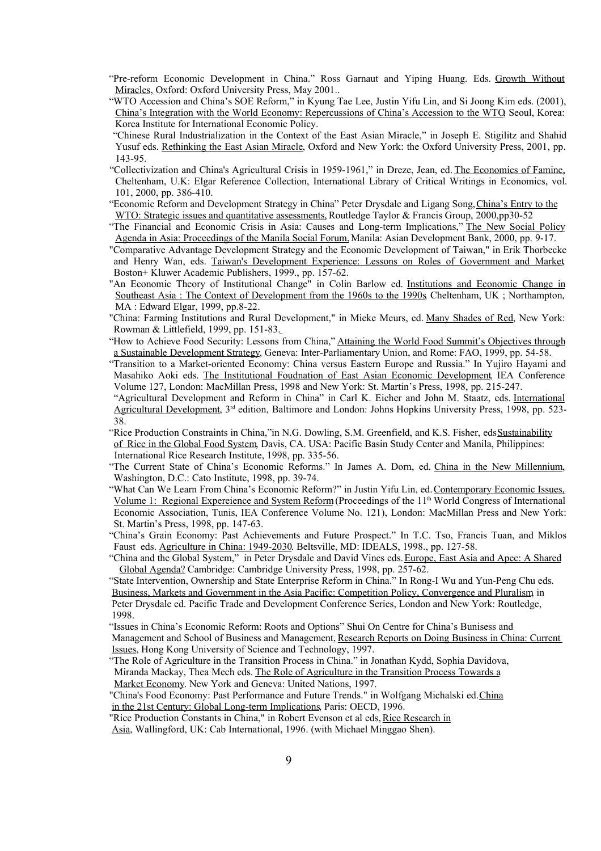- "Pre-reform Economic Development in China." Ross Garnaut and Yiping Huang. Eds. Growth Without Miracles, Oxford: Oxford University Press, May 2001..
- "WTO Accession and China's SOE Reform," in Kyung Tae Lee, Justin Yifu Lin, and Si Joong Kim eds. (2001), China's Integration with the World Economy: Repercussions of China's Accession to the WTO, Seoul, Korea: Korea Institute for International Economic Policy.
- "Chinese Rural Industrialization in the Context of the East Asian Miracle," in Joseph E. Stigilitz and Shahid Yusuf eds. Rethinking the East Asian Miracle, Oxford and New York: the Oxford University Press, 2001, pp. 143-95.
- "Collectivization and China's Agricultural Crisis in 1959-1961," in Dreze, Jean, ed. The Economics of Famine, Cheltenham, U.K: Elgar Reference Collection, International Library of Critical Writings in Economics, vol. 101, 2000, pp. 386-410.
- "Economic Reform and Development Strategy in China" Peter Drysdale and Ligang Song, China's Entry to the WTO: Strategic issues and quantitative assessments, Routledge Taylor & Francis Group, 2000,pp30-52
- "The Financial and Economic Crisis in Asia: Causes and Long-term Implications," The New Social Policy Agenda in Asia: Proceedings of the Manila Social Forum, Manila: Asian Development Bank, 2000, pp. 9-17.
- "Comparative Advantage Development Strategy and the Economic Development of Taiwan," in Erik Thorbecke and Henry Wan, eds. Taiwan's Development Experience: Lessons on Roles of Government and Market, Boston+ Kluwer Academic Publishers, 1999., pp. 157-62.
- "An Economic Theory of Institutional Change" in Colin Barlow ed. Institutions and Economic Change in Southeast Asia: The Context of Development from the 1960s to the 1990s Cheltenham, UK; Northampton, MA : Edward Elgar, 1999, pp.8-22.
- "China: Farming Institutions and Rural Development," in Mieke Meurs, ed. Many Shades of Red, New York: Rowman & Littlefield, 1999, pp. 151-83.
- "How to Achieve Food Security: Lessons from China," Attaining the World Food Summit's Objectives through a Sustainable Development Strategy, Geneva: Inter-Parliamentary Union, and Rome: FAO, 1999, pp. 54-58.
- "Transition to a Market-oriented Economy: China versus Eastern Europe and Russia." In Yujiro Hayami and Masahiko Aoki eds. The Institutional Foudnation of East Asian Economic Development, IEA Conference Volume 127, London: MacMillan Press, 1998 and New York: St. Martin's Press, 1998, pp. 215-247.
- "Agricultural Development and Reform in China" in Carl K. Eicher and John M. Staatz, eds. International Agricultural Development, 3<sup>rd</sup> edition, Baltimore and London: Johns Hopkins University Press, 1998, pp. 523-38.
- "Rice Production Constraints in China,"in N.G. Dowling, S.M. Greenfield, and K.S. Fisher, edsSustainability of Rice in the Global Food System, Davis, CA. USA: Pacific Basin Study Center and Manila, Philippines: International Rice Research Institute, 1998, pp. 335-56.
- "The Current State of China's Economic Reforms." In James A. Dorn, ed. China in the New Millennium, Washington, D.C.: Cato Institute, 1998, pp. 39-74.
- "What Can We Learn From China's Economic Reform?" in Justin Yifu Lin, ed. Contemporary Economic Issues, Volume 1: Regional Expereience and System Reform (Proceedings of the 11<sup>th</sup> World Congress of International Economic Association, Tunis, IEA Conference Volume No. 121), London: MacMillan Press and New York: St. Martin's Press, 1998, pp. 147-63.
- "China's Grain Economy: Past Achievements and Future Prospect." In T.C. Tso, Francis Tuan, and Miklos Faust eds. Agriculture in China: 1949-2030. Beltsville, MD: IDEALS, 1998., pp. 127-58.
- "China and the Global System," in Peter Drysdale and David Vines eds.Europe, East Asia and Apec: A Shared Global Agenda? Cambridge: Cambridge University Press, 1998, pp. 257-62.
- "State Intervention, Ownership and State Enterprise Reform in China." In Rong-I Wu and Yun-Peng Chu eds. Business, Markets and Government in the Asia Pacific: Competition Policy, Convergence and Pluralism, in Peter Drysdale ed. Pacific Trade and Development Conference Series, London and New York: Routledge,
- 1998.
- "Issues in China's Economic Reform: Roots and Options" Shui On Centre for China's Bunisess and Management and School of Business and Management, Research Reports on Doing Business in China: Current
- Issues, Hong Kong University of Science and Technology, 1997.
- "The Role of Agriculture in the Transition Process in China." in Jonathan Kydd, Sophia Davidova, Miranda Mackay, Thea Mech eds. The Role of Agriculture in the Transition Process Towards a Market Economy. New York and Geneva: United Nations, 1997.
- "China's Food Economy: Past Performance and Future Trends." in Wolfgang Michalski ed.China in the 21st Century: Global Long-term Implications, Paris: OECD, 1996.
- "Rice Production Constants in China," in Robert Evenson et al eds,Rice Research in

Asia, Wallingford, UK: Cab International, 1996. (with Michael Minggao Shen).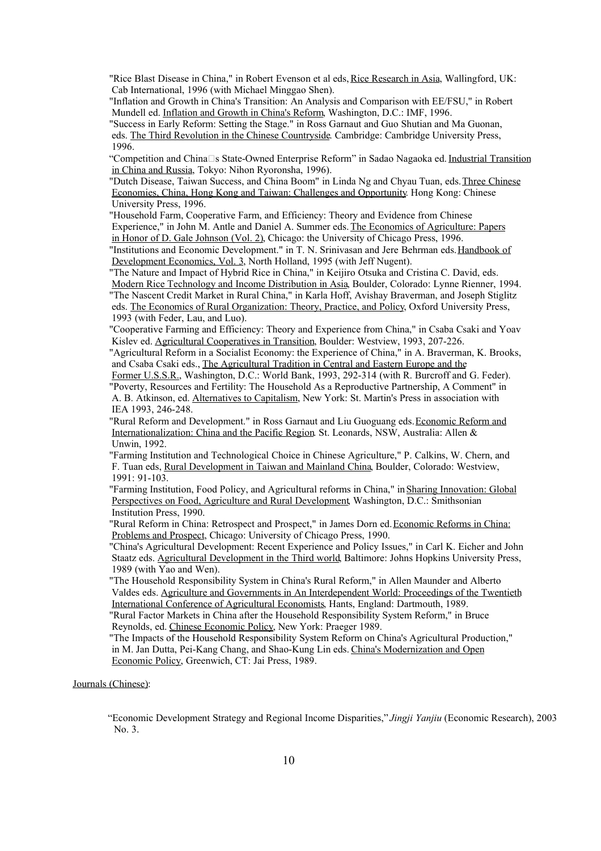"Rice Blast Disease in China," in Robert Evenson et al eds, Rice Research in Asia, Wallingford, UK: Cab International, 1996 (with Michael Minggao Shen).

"Inflation and Growth in China's Transition: An Analysis and Comparison with EE/FSU," in Robert Mundell ed. Inflation and Growth in China's Reform, Washington, D.C.: IMF, 1996.

"Success in Early Reform: Setting the Stage." in Ross Garnaut and Guo Shutian and Ma Guonan, eds. The Third Revolution in the Chinese Countryside. Cambridge: Cambridge University Press, 1996.

"Competition and China $\square$ s State-Owned Enterprise Reform" in Sadao Nagaoka ed. Industrial Transition in China and Russia, Tokyo: Nihon Ryoronsha, 1996).

"Dutch Disease, Taiwan Success, and China Boom" in Linda Ng and Chyau Tuan, eds.Three Chinese Economies, China, Hong Kong and Taiwan: Challenges and Opportunity. Hong Kong: Chinese University Press, 1996.

"Household Farm, Cooperative Farm, and Efficiency: Theory and Evidence from Chinese Experience," in John M. Antle and Daniel A. Summer eds.The Economics of Agriculture: Papers in Honor of D. Gale Johnson (Vol. 2), Chicago: the University of Chicago Press, 1996.

"Institutions and Economic Development." in T. N. Srinivasan and Jere Behrman eds. Handbook of Development Economics, Vol. 3, North Holland, 1995 (with Jeff Nugent).

"The Nature and Impact of Hybrid Rice in China," in Keijiro Otsuka and Cristina C. David, eds. Modern Rice Technology and Income Distribution in Asia, Boulder, Colorado: Lynne Rienner, 1994. "The Nascent Credit Market in Rural China," in Karla Hoff, Avishay Braverman, and Joseph Stiglitz eds. The Economics of Rural Organization: Theory, Practice, and Policy, Oxford University Press, 1993 (with Feder, Lau, and Luo).

"Cooperative Farming and Efficiency: Theory and Experience from China," in Csaba Csaki and Yoav Kislev ed. Agricultural Cooperatives in Transition, Boulder: Westview, 1993, 207-226.

"Agricultural Reform in a Socialist Economy: the Experience of China," in A. Braverman, K. Brooks, and Csaba Csaki eds., The Agricultural Tradition in Central and Eastern Europe and the

Former U.S.S.R., Washington, D.C.: World Bank, 1993, 292-314 (with R. Burcroff and G. Feder). "Poverty, Resources and Fertility: The Household As a Reproductive Partnership, A Comment" in A. B. Atkinson, ed. Alternatives to Capitalism, New York: St. Martin's Press in association with IEA 1993, 246-248.

"Rural Reform and Development." in Ross Garnaut and Liu Guoguang eds. Economic Reform and Internationalization: China and the Pacific Region. St. Leonards, NSW, Australia: Allen & Unwin, 1992.

"Farming Institution and Technological Choice in Chinese Agriculture," P. Calkins, W. Chern, and F. Tuan eds, Rural Development in Taiwan and Mainland China, Boulder, Colorado: Westview, 1991: 91-103.

"Farming Institution, Food Policy, and Agricultural reforms in China," inSharing Innovation: Global Perspectives on Food, Agriculture and Rural Development, Washington, D.C.: Smithsonian Institution Press, 1990.

"Rural Reform in China: Retrospect and Prospect," in James Dorn ed. Economic Reforms in China: Problems and Prospect, Chicago: University of Chicago Press, 1990.

"China's Agricultural Development: Recent Experience and Policy Issues," in Carl K. Eicher and John Staatz eds. Agricultural Development in the Third world, Baltimore: Johns Hopkins University Press, 1989 (with Yao and Wen).

"The Household Responsibility System in China's Rural Reform," in Allen Maunder and Alberto Valdes eds. Agriculture and Governments in An Interdependent World: Proceedings of the Twentieth International Conference of Agricultural Economists, Hants, England: Dartmouth, 1989.

"Rural Factor Markets in China after the Household Responsibility System Reform," in Bruce Reynolds, ed. Chinese Economic Policy, New York: Praeger 1989.

"The Impacts of the Household Responsibility System Reform on China's Agricultural Production," in M. Jan Dutta, Pei-Kang Chang, and Shao-Kung Lin eds. China's Modernization and Open Economic Policy, Greenwich, CT: Jai Press, 1989.

# Journals (Chinese):

"Economic Development Strategy and Regional Income Disparities," *Jingji Yanjiu* (Economic Research), 2003 No. 3.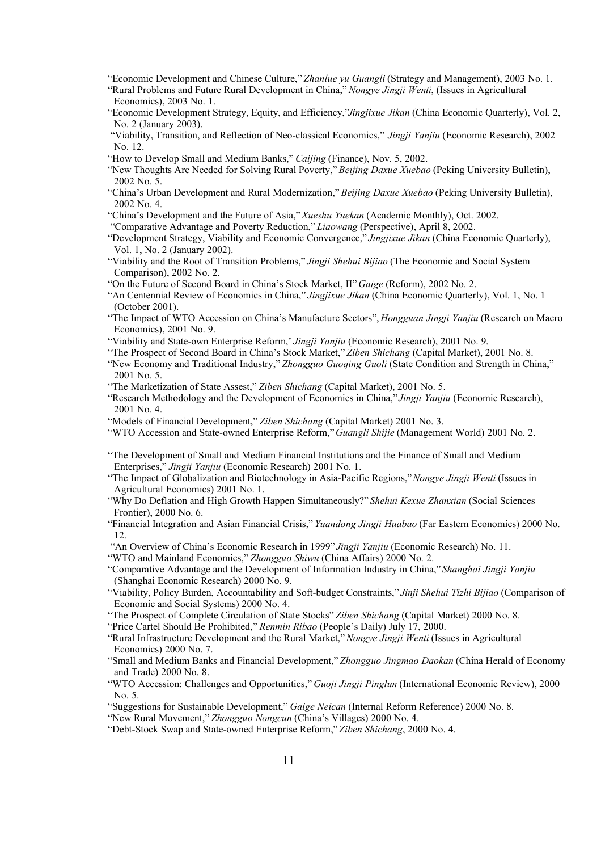- "Economic Development and Chinese Culture,"*Zhanlue yu Guangli* (Strategy and Management), 2003 No. 1.
- "Rural Problems and Future Rural Development in China," *Nongye Jingji Wenti*, (Issues in Agricultural Economics), 2003 No. 1.
- "Economic Development Strategy, Equity, and Efficiency,"*Jingjixue Jikan* (China Economic Quarterly), Vol. 2, No. 2 (January 2003).
- "Viability, Transition, and Reflection of Neo-classical Economics," *Jingji Yanjiu* (Economic Research), 2002 No. 12.
- "How to Develop Small and Medium Banks," *Caijing* (Finance), Nov. 5, 2002.
- "New Thoughts Are Needed for Solving Rural Poverty," *Beijing Daxue Xuebao* (Peking University Bulletin), 2002 No. 5.
- "China's Urban Development and Rural Modernization," *Beijing Daxue Xuebao* (Peking University Bulletin), 2002 No. 4.
- "China's Development and the Future of Asia," *Xueshu Yuekan* (Academic Monthly), Oct. 2002.
- "Comparative Advantage and Poverty Reduction,"*Liaowang* (Perspective), April 8, 2002.
- "Development Strategy, Viability and Economic Convergence," *Jingjixue Jikan* (China Economic Quarterly), Vol. 1, No. 2 (January 2002).
- "Viability and the Root of Transition Problems," *Jingji Shehui Bijiao* (The Economic and Social System Comparison), 2002 No. 2.
- "On the Future of Second Board in China's Stock Market, II" *Gaige* (Reform), 2002 No. 2.
- "An Centennial Review of Economics in China," *Jingjixue Jikan* (China Economic Quarterly), Vol. 1, No. 1 (October 2001).
- "The Impact of WTO Accession on China's Manufacture Sectors", *Hongguan Jingji Yanjiu* (Research on Macro Economics), 2001 No. 9.
- "Viability and State-own Enterprise Reform,' *Jingji Yanjiu* (Economic Research), 2001 No. 9.
- "The Prospect of Second Board in China's Stock Market,"*Ziben Shichang* (Capital Market), 2001 No. 8.
- "New Economy and Traditional Industry,"*Zhongguo Guoqing Guoli* (State Condition and Strength in China," 2001 No. 5.
- "The Marketization of State Assest," *Ziben Shichang* (Capital Market), 2001 No. 5.
- "Research Methodology and the Development of Economics in China," *Jingji Yanjiu* (Economic Research), 2001 No. 4.
- "Models of Financial Development,"*Ziben Shichang* (Capital Market) 2001 No. 3.
- "WTO Accession and State-owned Enterprise Reform," *Guangli Shijie* (Management World) 2001 No. 2.
- "The Development of Small and Medium Financial Institutions and the Finance of Small and Medium Enterprises," *Jingji Yanjiu* (Economic Research) 2001 No. 1.
- "The Impact of Globalization and Biotechnology in Asia-Pacific Regions,"*Nongye Jingji Wenti* (Issues in Agricultural Economics) 2001 No. 1.
- "Why Do Deflation and High Growth Happen Simultaneously?" *Shehui Kexue Zhanxian* (Social Sciences Frontier), 2000 No. 6.
- "Financial Integration and Asian Financial Crisis,"*Yuandong Jingji Huabao* (Far Eastern Economics) 2000 No. 12.
- "An Overview of China's Economic Research in 1999" *Jingji Yanjiu* (Economic Research) No. 11.
- "WTO and Mainland Economics," *Zhongguo Shiwu* (China Affairs) 2000 No. 2.
- "Comparative Advantage and the Development of Information Industry in China," *Shanghai Jingji Yanjiu* (Shanghai Economic Research) 2000 No. 9.
- "Viability, Policy Burden, Accountability and Soft-budget Constraints," *Jinji Shehui Tizhi Bijiao* (Comparison of Economic and Social Systems) 2000 No. 4.
- "The Prospect of Complete Circulation of State Stocks"*Ziben Shichang* (Capital Market) 2000 No. 8.
- "Price Cartel Should Be Prohibited," *Renmin Ribao* (People's Daily) July 17, 2000.
- "Rural Infrastructure Development and the Rural Market,"*Nongye Jingji Wenti* (Issues in Agricultural Economics) 2000 No. 7.
- "Small and Medium Banks and Financial Development,"*Zhongguo Jingmao Daokan* (China Herald of Economy and Trade) 2000 No. 8.
- "WTO Accession: Challenges and Opportunities," *Guoji Jingji Pinglun* (International Economic Review), 2000 No. 5.
- "Suggestions for Sustainable Development," *Gaige Neican* (Internal Reform Reference) 2000 No. 8.
- "New Rural Movement,"*Zhongguo Nongcun* (China's Villages) 2000 No. 4.
- "Debt-Stock Swap and State-owned Enterprise Reform,"*Ziben Shichang*, 2000 No. 4.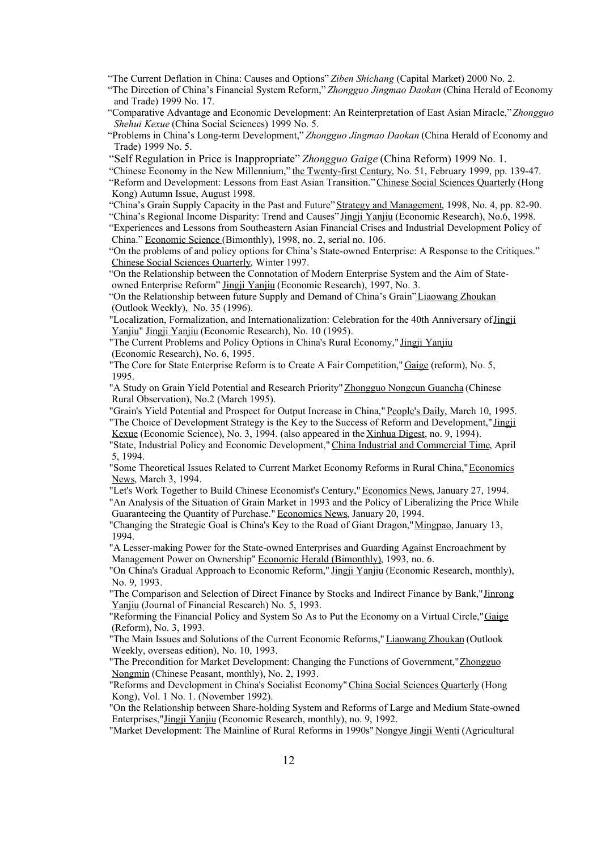"The Current Deflation in China: Causes and Options"*Ziben Shichang* (Capital Market) 2000 No. 2.

"The Direction of China's Financial System Reform,"*Zhongguo Jingmao Daokan* (China Herald of Economy and Trade) 1999 No. 17.

"Comparative Advantage and Economic Development: An Reinterpretation of East Asian Miracle,"*Zhongguo Shehui Kexue* (China Social Sciences) 1999 No. 5.

"Problems in China's Long-term Development,"*Zhongguo Jingmao Daokan* (China Herald of Economy and Trade) 1999 No. 5.

"Self Regulation in Price is Inappropriate" *Zhongguo Gaige* (China Reform) 1999 No. 1.

"Chinese Economy in the New Millennium," the Twenty-first Century, No. 51, February 1999, pp. 139-47. "Reform and Development: Lessons from East Asian Transition."Chinese Social Sciences Quarterly (Hong Kong) Autumn Issue, August 1998.

"China's Grain Supply Capacity in the Past and Future"Strategy and Management, 1998, No. 4, pp. 82-90.

"China's Regional Income Disparity: Trend and Causes" Jingji Yanjiu (Economic Research), No.6, 1998.

"Experiences and Lessons from Southeastern Asian Financial Crises and Industrial Development Policy of China." Economic Science (Bimonthly), 1998, no. 2, serial no. 106.

"On the problems of and policy options for China's State-owned Enterprise: A Response to the Critiques." Chinese Social Sciences Quarterly, Winter 1997.

"On the Relationship between the Connotation of Modern Enterprise System and the Aim of Stateowned Enterprise Reform" Jingji Yanjiu (Economic Research), 1997, No. 3.

"On the Relationship between future Supply and Demand of China's Grain"Liaowang Zhoukan (Outlook Weekly), No. 35 (1996).

"Localization, Formalization, and Internationalization: Celebration for the 40th Anniversary ofJingji Yanjiu" Jingji Yanjiu (Economic Research), No. 10 (1995).

"The Current Problems and Policy Options in China's Rural Economy," Jingji Yanjiu (Economic Research), No. 6, 1995.

"The Core for State Enterprise Reform is to Create A Fair Competition," Gaige (reform), No. 5, 1995.

"A Study on Grain Yield Potential and Research Priority" Zhongguo Nongcun Guancha (Chinese Rural Observation), No.2 (March 1995).

"Grain's Yield Potential and Prospect for Output Increase in China,"People's Daily, March 10, 1995. "The Choice of Development Strategy is the Key to the Success of Reform and Development," Jingji Kexue (Economic Science), No. 3, 1994. (also appeared in the Xinhua Digest, no. 9, 1994).

"State, Industrial Policy and Economic Development,"China Industrial and Commercial Time, April 5, 1994.

"Some Theoretical Issues Related to Current Market Economy Reforms in Rural China,"Economics News, March 3, 1994.

"Let's Work Together to Build Chinese Economist's Century," Economics News, January 27, 1994. "An Analysis of the Situation of Grain Market in 1993 and the Policy of Liberalizing the Price While

Guaranteeing the Quantity of Purchase." Economics News, January 20, 1994.

"Changing the Strategic Goal is China's Key to the Road of Giant Dragon,"Mingpao, January 13, 1994.

"A Lesser-making Power for the State-owned Enterprises and Guarding Against Encroachment by Management Power on Ownership" Economic Herald (Bimonthly), 1993, no. 6.

"On China's Gradual Approach to Economic Reform," Jingji Yanjiu (Economic Research, monthly), No. 9, 1993.

"The Comparison and Selection of Direct Finance by Stocks and Indirect Finance by Bank,"Jinrong Yanjiu (Journal of Financial Research) No. 5, 1993.

"Reforming the Financial Policy and System So As to Put the Economy on a Virtual Circle,"Gaige (Reform), No. 3, 1993.

"The Main Issues and Solutions of the Current Economic Reforms," Liaowang Zhoukan (Outlook Weekly, overseas edition), No. 10, 1993.

"The Precondition for Market Development: Changing the Functions of Government," Zhongguo Nongmin (Chinese Peasant, monthly), No. 2, 1993.

"Reforms and Development in China's Socialist Economy"China Social Sciences Quarterly (Hong Kong), Vol. 1 No. 1. (November 1992).

"On the Relationship between Share-holding System and Reforms of Large and Medium State-owned Enterprises,"Jingji Yanjiu (Economic Research, monthly), no. 9, 1992.

"Market Development: The Mainline of Rural Reforms in 1990s" Nongye Jingji Wenti (Agricultural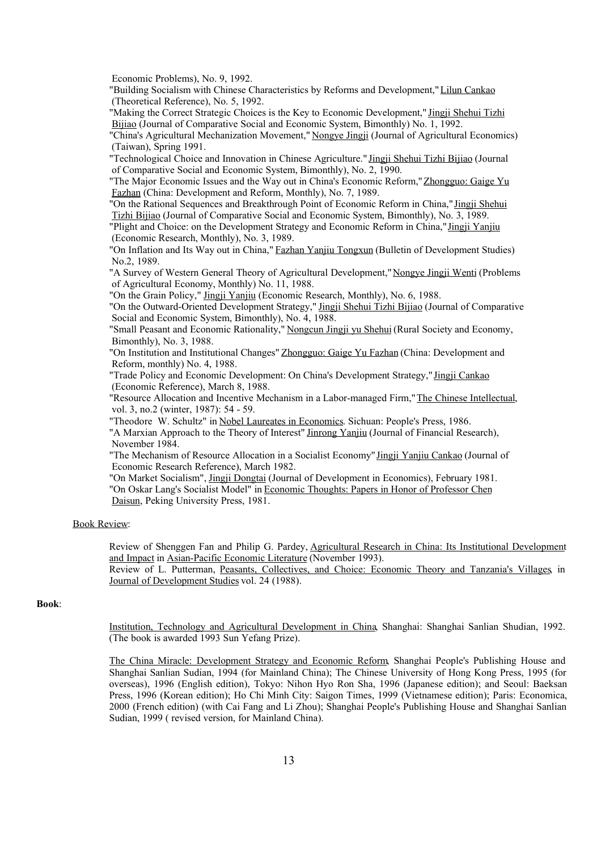Economic Problems), No. 9, 1992.

"Building Socialism with Chinese Characteristics by Reforms and Development,"Lilun Cankao (Theoretical Reference), No. 5, 1992.

"Making the Correct Strategic Choices is the Key to Economic Development," Jingji Shehui Tizhi Bijiao (Journal of Comparative Social and Economic System, Bimonthly) No. 1, 1992.

"China's Agricultural Mechanization Movement," Nongye Jingji (Journal of Agricultural Economics) (Taiwan), Spring 1991.

"Technological Choice and Innovation in Chinese Agriculture." Jingji Shehui Tizhi Bijiao (Journal of Comparative Social and Economic System, Bimonthly), No. 2, 1990.

"The Major Economic Issues and the Way out in China's Economic Reform,"Zhongguo: Gaige Yu Fazhan (China: Development and Reform, Monthly), No. 7, 1989.

"On the Rational Sequences and Breakthrough Point of Economic Reform in China," Jingji Shehui Tizhi Bijiao (Journal of Comparative Social and Economic System, Bimonthly), No. 3, 1989.

"Plight and Choice: on the Development Strategy and Economic Reform in China,"Jingji Yanjiu (Economic Research, Monthly), No. 3, 1989.

"On Inflation and Its Way out in China," Fazhan Yanjiu Tongxun (Bulletin of Development Studies) No.2, 1989.

"A Survey of Western General Theory of Agricultural Development,"Nongye Jingji Wenti (Problems of Agricultural Economy, Monthly) No. 11, 1988.

"On the Grain Policy," Jingji Yanjiu (Economic Research, Monthly), No. 6, 1988.

"On the Outward-Oriented Development Strategy," Jingji Shehui Tizhi Bijiao (Journal of Comparative Social and Economic System, Bimonthly), No. 4, 1988.

"Small Peasant and Economic Rationality," Nongcun Jingji yu Shehui (Rural Society and Economy, Bimonthly), No. 3, 1988.

"On Institution and Institutional Changes" Zhongguo: Gaige Yu Fazhan (China: Development and Reform, monthly) No. 4, 1988.

"Trade Policy and Economic Development: On China's Development Strategy," Jingji Cankao (Economic Reference), March 8, 1988.

"Resource Allocation and Incentive Mechanism in a Labor-managed Firm,"The Chinese Intellectual, vol. 3, no.2 (winter, 1987): 54 - 59.

"Theodore W. Schultz" in Nobel Laureates in Economics. Sichuan: People's Press, 1986.

"A Marxian Approach to the Theory of Interest" Jinrong Yanjiu (Journal of Financial Research), November 1984.

"The Mechanism of Resource Allocation in a Socialist Economy" Jingji Yanjiu Cankao (Journal of Economic Research Reference), March 1982.

"On Market Socialism", Jingji Dongtai (Journal of Development in Economics), February 1981. "On Oskar Lang's Socialist Model" in Economic Thoughts: Papers in Honor of Professor Chen Daisun, Peking University Press, 1981.

### Book Review:

Review of Shenggen Fan and Philip G. Pardey, Agricultural Research in China: Its Institutional Development and Impact in Asian-Pacific Economic Literature (November 1993).

Review of L. Putterman, Peasants, Collectives, and Choice: Economic Theory and Tanzania's Villages, in Journal of Development Studies vol. 24 (1988).

## **Book**:

Institution, Technology and Agricultural Development in China, Shanghai: Shanghai Sanlian Shudian, 1992. (The book is awarded 1993 Sun Yefang Prize).

The China Miracle: Development Strategy and Economic Reform, Shanghai People's Publishing House and Shanghai Sanlian Sudian, 1994 (for Mainland China); The Chinese University of Hong Kong Press, 1995 (for overseas), 1996 (English edition), Tokyo: Nihon Hyo Ron Sha, 1996 (Japanese edition); and Seoul: Baeksan Press, 1996 (Korean edition); Ho Chi Minh City: Saigon Times, 1999 (Vietnamese edition); Paris: Economica, 2000 (French edition) (with Cai Fang and Li Zhou); Shanghai People's Publishing House and Shanghai Sanlian Sudian, 1999 ( revised version, for Mainland China).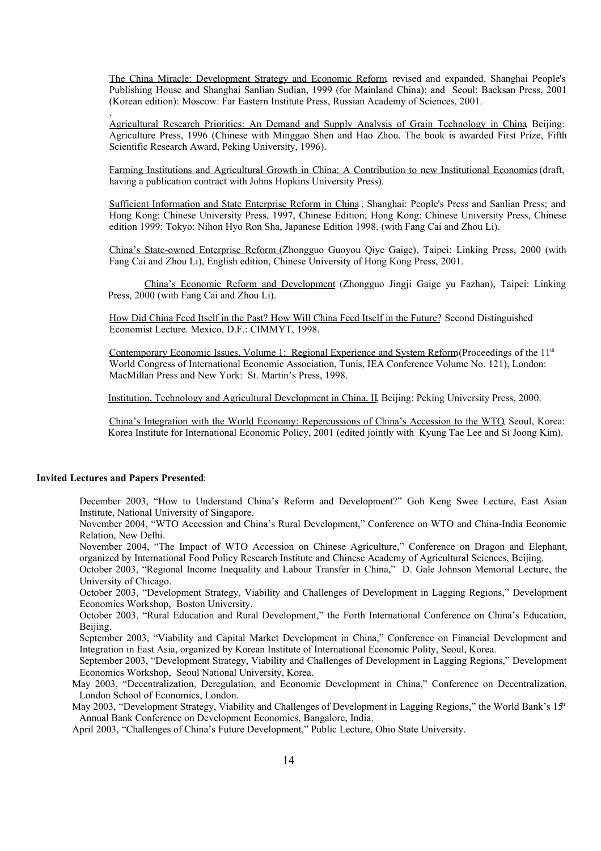The China Miracle: Development Strategy and Economic Reform, revised and expanded. Shanghai People's Publishing House and Shanghai Sanlian Sudian, 1999 (for Mainland China); and Seoul: Baeksan Press, 2001 (Korean edition): Moscow: Far Eastern Institute Press, Russian Academy of Sciences, 2001.

Agricultural Research Priorities: An Demand and Supply Analysis of Grain Technology in China, Beijing: Agriculture Press, 1996 (Chinese with Minggao Shen and Hao Zhou. The book is awarded First Prize, Fifth Scientific Research Award, Peking University, 1996).

Farming Institutions and Agricultural Growth in China: A Contribution to new Institutional Economics(draft, having a publication contract with Johns Hopkins University Press).

Sufficient Information and State Enterprise Reform in China , Shanghai: People's Press and Sanlian Press; and Hong Kong: Chinese University Press, 1997, Chinese Edition; Hong Kong: Chinese University Press, Chinese edition 1999; Tokyo: Nihon Hyo Ron Sha, Japanese Edition 1998. (with Fang Cai and Zhou Li).

China's State-owned Enterprise Reform (Zhongguo Guoyou Qiye Gaige), Taipei: Linking Press, 2000 (with Fang Cai and Zhou Li), English edition, Chinese University of Hong Kong Press, 2001.

China's Economic Reform and Development (Zhongguo Jingji Gaige yu Fazhan), Taipei: Linking Press, 2000 (with Fang Cai and Zhou Li).

How Did China Feed Itself in the Past? How Will China Feed Itself in the Future? Second Distinguished Economist Lecture. Mexico, D.F.: CIMMYT, 1998.

Contemporary Economic Issues, Volume 1: Regional Experience and System Reform (Proceedings of the 11<sup>th</sup> World Congress of International Economic Association, Tunis, IEA Conference Volume No. 121), London: MacMillan Press and New York: St. Martin's Press, 1998.

Institution, Technology and Agricultural Development in China, II, Beijing: Peking University Press, 2000.

China's Integration with the World Economy: Repercussions of China's Accession to the WTO, Seoul, Korea: Korea Institute for International Economic Policy, 2001 (edited jointly with Kyung Tae Lee and Si Joong Kim).

### **Invited Lectures and Papers Presented**:

.

December 2003, "How to Understand China's Reform and Development?" Goh Keng Swee Lecture, East Asian Institute, National University of Singapore.

November 2004, "WTO Accession and China's Rural Development," Conference on WTO and China-India Economic Relation, New Delhi.

November 2004, "The Impact of WTO Accession on Chinese Agriculture," Conference on Dragon and Elephant, organized by International Food Policy Research Institute and Chinese Academy of Agricultural Sciences, Beijing.

October 2003, "Regional Income Inequality and Labour Transfer in China," D. Gale Johnson Memorial Lecture, the University of Chicago.

October 2003, "Development Strategy, Viability and Challenges of Development in Lagging Regions," Development Economics Workshop, Boston University.

October 2003, "Rural Education and Rural Development," the Forth International Conference on China's Education, **Beijing** 

September 2003, "Viability and Capital Market Development in China," Conference on Financial Development and Integration in East Asia, organized by Korean Institute of International Economic Polity, Seoul, Korea.

September 2003, "Development Strategy, Viability and Challenges of Development in Lagging Regions," Development Economics Workshop, Seoul National University, Korea.

May 2003, "Decentralization, Deregulation, and Economic Development in China," Conference on Decentralization, London School of Economics, London.

May 2003, "Development Strategy, Viability and Challenges of Development in Lagging Regions," the World Bank's 15th Annual Bank Conference on Development Economics, Bangalore, India.

April 2003, "Challenges of China's Future Development," Public Lecture, Ohio State University.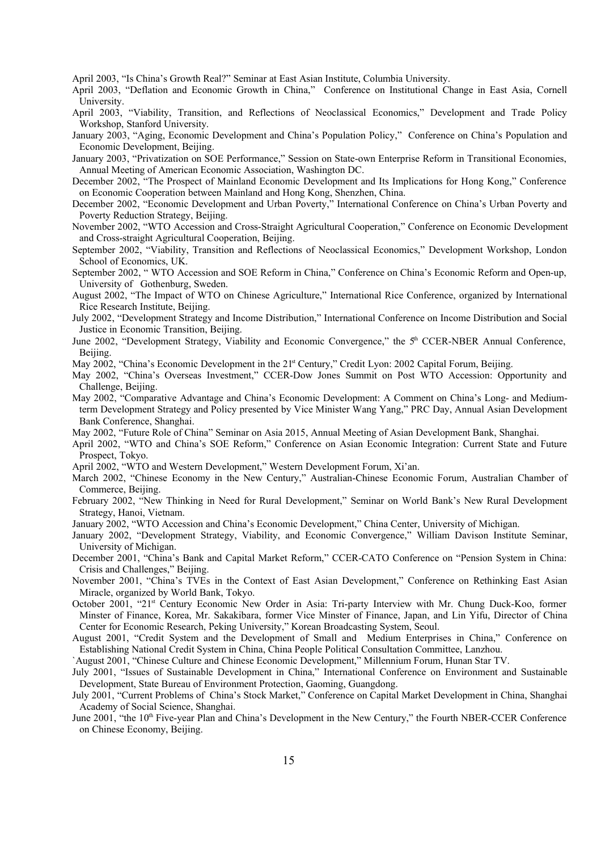April 2003, "Is China's Growth Real?" Seminar at East Asian Institute, Columbia University.

April 2003, "Deflation and Economic Growth in China," Conference on Institutional Change in East Asia, Cornell University.

- April 2003, "Viability, Transition, and Reflections of Neoclassical Economics," Development and Trade Policy Workshop, Stanford University.
- January 2003, "Aging, Economic Development and China's Population Policy," Conference on China's Population and Economic Development, Beijing.
- January 2003, "Privatization on SOE Performance," Session on State-own Enterprise Reform in Transitional Economies, Annual Meeting of American Economic Association, Washington DC.
- December 2002, "The Prospect of Mainland Economic Development and Its Implications for Hong Kong," Conference on Economic Cooperation between Mainland and Hong Kong, Shenzhen, China.
- December 2002, "Economic Development and Urban Poverty," International Conference on China's Urban Poverty and Poverty Reduction Strategy, Beijing.
- November 2002, "WTO Accession and Cross-Straight Agricultural Cooperation," Conference on Economic Development and Cross-straight Agricultural Cooperation, Beijing.
- September 2002, "Viability, Transition and Reflections of Neoclassical Economics," Development Workshop, London School of Economics, UK.
- September 2002, " WTO Accession and SOE Reform in China," Conference on China's Economic Reform and Open-up, University of Gothenburg, Sweden.
- August 2002, "The Impact of WTO on Chinese Agriculture," International Rice Conference, organized by International Rice Research Institute, Beijing.
- July 2002, "Development Strategy and Income Distribution," International Conference on Income Distribution and Social Justice in Economic Transition, Beijing.
- June 2002, "Development Strategy, Viability and Economic Convergence," the 5<sup>th</sup> CCER-NBER Annual Conference, Beijing.
- May 2002, "China's Economic Development in the 2<sup>1st</sup> Century," Credit Lyon: 2002 Capital Forum, Beijing.
- May 2002, "China's Overseas Investment," CCER-Dow Jones Summit on Post WTO Accession: Opportunity and Challenge, Beijing.
- May 2002, "Comparative Advantage and China's Economic Development: A Comment on China's Long- and Mediumterm Development Strategy and Policy presented by Vice Minister Wang Yang," PRC Day, Annual Asian Development Bank Conference, Shanghai.
- May 2002, "Future Role of China" Seminar on Asia 2015, Annual Meeting of Asian Development Bank, Shanghai.
- April 2002, "WTO and China's SOE Reform," Conference on Asian Economic Integration: Current State and Future Prospect, Tokyo.
- April 2002, "WTO and Western Development," Western Development Forum, Xi'an.
- March 2002, "Chinese Economy in the New Century," Australian-Chinese Economic Forum, Australian Chamber of Commerce, Beijing.
- February 2002, "New Thinking in Need for Rural Development," Seminar on World Bank's New Rural Development Strategy, Hanoi, Vietnam.
- January 2002, "WTO Accession and China's Economic Development," China Center, University of Michigan.
- January 2002, "Development Strategy, Viability, and Economic Convergence," William Davison Institute Seminar, University of Michigan.
- December 2001, "China's Bank and Capital Market Reform," CCER-CATO Conference on "Pension System in China: Crisis and Challenges," Beijing.
- November 2001, "China's TVEs in the Context of East Asian Development," Conference on Rethinking East Asian Miracle, organized by World Bank, Tokyo.
- October 2001, "21st Century Economic New Order in Asia: Tri-party Interview with Mr. Chung Duck-Koo, former Minster of Finance, Korea, Mr. Sakakibara, former Vice Minster of Finance, Japan, and Lin Yifu, Director of China Center for Economic Research, Peking University," Korean Broadcasting System, Seoul.
- August 2001, "Credit System and the Development of Small and Medium Enterprises in China," Conference on Establishing National Credit System in China, China People Political Consultation Committee, Lanzhou.

`August 2001, "Chinese Culture and Chinese Economic Development," Millennium Forum, Hunan Star TV.

- July 2001, "Issues of Sustainable Development in China," International Conference on Environment and Sustainable Development, State Bureau of Environment Protection, Gaoming, Guangdong.
- July 2001, "Current Problems of China's Stock Market," Conference on Capital Market Development in China, Shanghai Academy of Social Science, Shanghai.
- June 2001, "the 10<sup>th</sup> Five-year Plan and China's Development in the New Century," the Fourth NBER-CCER Conference on Chinese Economy, Beijing.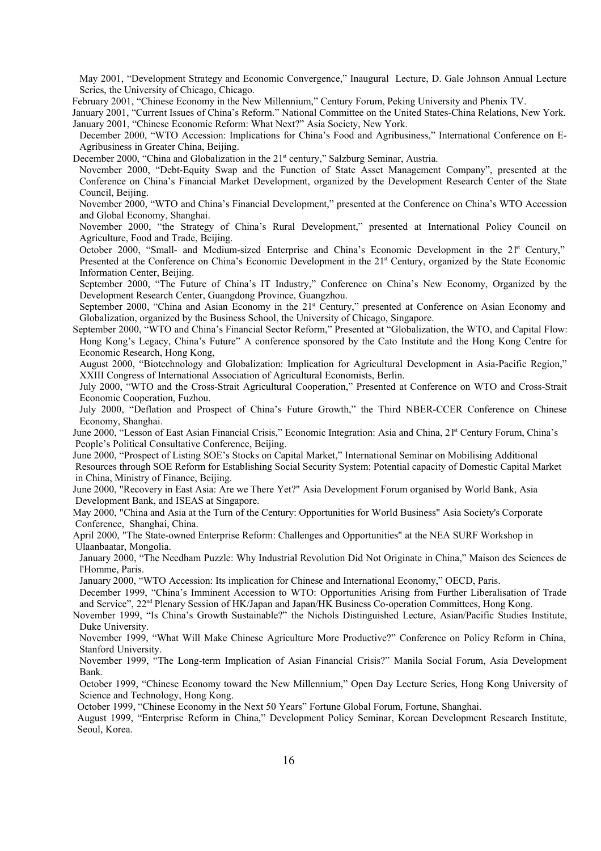May 2001, "Development Strategy and Economic Convergence," Inaugural Lecture, D. Gale Johnson Annual Lecture Series, the University of Chicago, Chicago.

February 2001, "Chinese Economy in the New Millennium," Century Forum, Peking University and Phenix TV.

January 2001, "Current Issues of China's Reform." National Committee on the United States-China Relations, New York. January 2001, "Chinese Economic Reform: What Next?" Asia Society, New York.

December 2000, "WTO Accession: Implications for China's Food and Agribusiness," International Conference on E-Agribusiness in Greater China, Beijing.

December 2000, "China and Globalization in the 21<sup>st</sup> century," Salzburg Seminar, Austria.

November 2000, "Debt-Equity Swap and the Function of State Asset Management Company", presented at the Conference on China's Financial Market Development, organized by the Development Research Center of the State Council, Beijing.

November 2000, "WTO and China's Financial Development," presented at the Conference on China's WTO Accession and Global Economy, Shanghai.

November 2000, "the Strategy of China's Rural Development," presented at International Policy Council on Agriculture, Food and Trade, Beijing.

October 2000, "Small- and Medium-sized Enterprise and China's Economic Development in the 2<sup>[st</sup> Century," Presented at the Conference on China's Economic Development in the 21<sup>st</sup> Century, organized by the State Economic Information Center, Beijing.

September 2000, "The Future of China's IT Industry," Conference on China's New Economy, Organized by the Development Research Center, Guangdong Province, Guangzhou.

September 2000, "China and Asian Economy in the 21<sup>st</sup> Century," presented at Conference on Asian Economy and Globalization, organized by the Business School, the University of Chicago, Singapore.

September 2000, "WTO and China's Financial Sector Reform," Presented at "Globalization, the WTO, and Capital Flow: Hong Kong's Legacy, China's Future" A conference sponsored by the Cato Institute and the Hong Kong Centre for Economic Research, Hong Kong,

August 2000, "Biotechnology and Globalization: Implication for Agricultural Development in Asia-Pacific Region," XXIII Congress of International Association of Agricultural Economists, Berlin.

July 2000, "WTO and the Cross-Strait Agricultural Cooperation," Presented at Conference on WTO and Cross-Strait Economic Cooperation, Fuzhou.

July 2000, "Deflation and Prospect of China's Future Growth," the Third NBER-CCER Conference on Chinese Economy, Shanghai.

June 2000, "Lesson of East Asian Financial Crisis," Economic Integration: Asia and China, 2<sup>1st</sup> Century Forum, China's People's Political Consultative Conference, Beijing.

June 2000, "Prospect of Listing SOE's Stocks on Capital Market," International Seminar on Mobilising Additional Resources through SOE Reform for Establishing Social Security System: Potential capacity of Domestic Capital Market in China, Ministry of Finance, Beijing.

June 2000, "Recovery in East Asia: Are we There Yet?" Asia Development Forum organised by World Bank, Asia Development Bank, and ISEAS at Singapore.

May 2000, "China and Asia at the Turn of the Century: Opportunities for World Business" Asia Society's Corporate Conference, Shanghai, China.

April 2000, "The State-owned Enterprise Reform: Challenges and Opportunities" at the NEA SURF Workshop in Ulaanbaatar, Mongolia.

January 2000, "The Needham Puzzle: Why Industrial Revolution Did Not Originate in China," Maison des Sciences de l'Homme, Paris.

January 2000, "WTO Accession: Its implication for Chinese and International Economy," OECD, Paris.

December 1999, "China's Imminent Accession to WTO: Opportunities Arising from Further Liberalisation of Trade and Service", 22<sup>nd</sup> Plenary Session of HK/Japan and Japan/HK Business Co-operation Committees, Hong Kong.

November 1999, "Is China's Growth Sustainable?" the Nichols Distinguished Lecture, Asian/Pacific Studies Institute, Duke University.

November 1999, "What Will Make Chinese Agriculture More Productive?" Conference on Policy Reform in China, Stanford University.

November 1999, "The Long-term Implication of Asian Financial Crisis?" Manila Social Forum, Asia Development Bank.

October 1999, "Chinese Economy toward the New Millennium," Open Day Lecture Series, Hong Kong University of Science and Technology, Hong Kong.

October 1999, "Chinese Economy in the Next 50 Years" Fortune Global Forum, Fortune, Shanghai.

August 1999, "Enterprise Reform in China," Development Policy Seminar, Korean Development Research Institute, Seoul, Korea.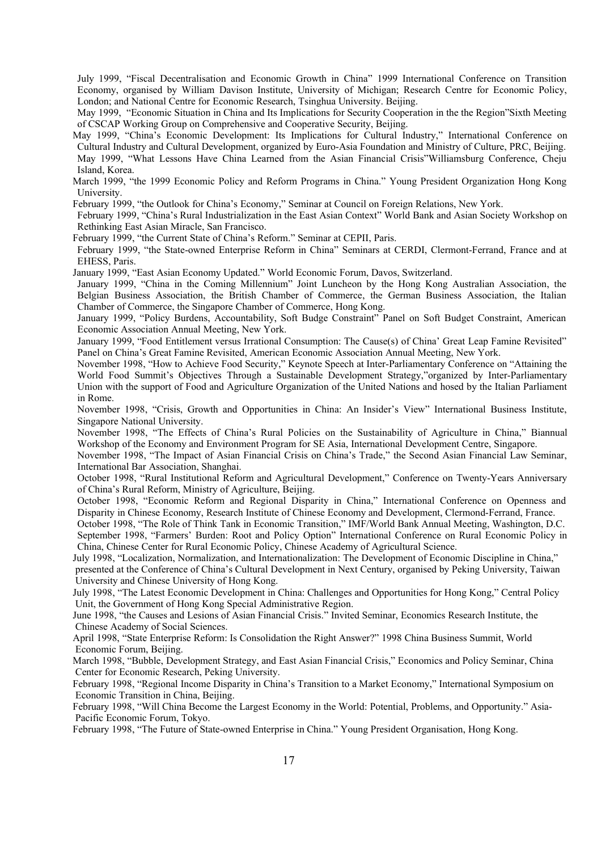July 1999, "Fiscal Decentralisation and Economic Growth in China" 1999 International Conference on Transition Economy, organised by William Davison Institute, University of Michigan; Research Centre for Economic Policy, London; and National Centre for Economic Research, Tsinghua University. Beijing.

May 1999, "Economic Situation in China and Its Implications for Security Cooperation in the the Region"Sixth Meeting of CSCAP Working Group on Comprehensive and Cooperative Security, Beijing.

May 1999, "China's Economic Development: Its Implications for Cultural Industry," International Conference on Cultural Industry and Cultural Development, organized by Euro-Asia Foundation and Ministry of Culture, PRC, Beijing. May 1999, "What Lessons Have China Learned from the Asian Financial Crisis"Williamsburg Conference, Cheju Island, Korea.

March 1999, "the 1999 Economic Policy and Reform Programs in China." Young President Organization Hong Kong University.

February 1999, "the Outlook for China's Economy," Seminar at Council on Foreign Relations, New York.

February 1999, "China's Rural Industrialization in the East Asian Context" World Bank and Asian Society Workshop on Rethinking East Asian Miracle, San Francisco.

February 1999, "the Current State of China's Reform." Seminar at CEPII, Paris.

February 1999, "the State-owned Enterprise Reform in China" Seminars at CERDI, Clermont-Ferrand, France and at EHESS, Paris.

January 1999, "East Asian Economy Updated." World Economic Forum, Davos, Switzerland.

January 1999, "China in the Coming Millennium" Joint Luncheon by the Hong Kong Australian Association, the Belgian Business Association, the British Chamber of Commerce, the German Business Association, the Italian Chamber of Commerce, the Singapore Chamber of Commerce, Hong Kong.

January 1999, "Policy Burdens, Accountability, Soft Budge Constraint" Panel on Soft Budget Constraint, American Economic Association Annual Meeting, New York.

January 1999, "Food Entitlement versus Irrational Consumption: The Cause(s) of China' Great Leap Famine Revisited" Panel on China's Great Famine Revisited, American Economic Association Annual Meeting, New York.

November 1998, "How to Achieve Food Security," Keynote Speech at Inter-Parliamentary Conference on "Attaining the World Food Summit's Objectives Through a Sustainable Development Strategy,"organized by Inter-Parliamentary Union with the support of Food and Agriculture Organization of the United Nations and hosed by the Italian Parliament in Rome.

November 1998, "Crisis, Growth and Opportunities in China: An Insider's View" International Business Institute, Singapore National University.

November 1998, "The Effects of China's Rural Policies on the Sustainability of Agriculture in China," Biannual Workshop of the Economy and Environment Program for SE Asia, International Development Centre, Singapore.

November 1998, "The Impact of Asian Financial Crisis on China's Trade," the Second Asian Financial Law Seminar, International Bar Association, Shanghai.

October 1998, "Rural Institutional Reform and Agricultural Development," Conference on Twenty-Years Anniversary of China's Rural Reform, Ministry of Agriculture, Beijing.

October 1998, "Economic Reform and Regional Disparity in China," International Conference on Openness and Disparity in Chinese Economy, Research Institute of Chinese Economy and Development, Clermond-Ferrand, France.

October 1998, "The Role of Think Tank in Economic Transition," IMF/World Bank Annual Meeting, Washington, D.C. September 1998, "Farmers' Burden: Root and Policy Option" International Conference on Rural Economic Policy in China, Chinese Center for Rural Economic Policy, Chinese Academy of Agricultural Science.

July 1998, "Localization, Normalization, and Internationalization: The Development of Economic Discipline in China," presented at the Conference of China's Cultural Development in Next Century, organised by Peking University, Taiwan University and Chinese University of Hong Kong.

July 1998, "The Latest Economic Development in China: Challenges and Opportunities for Hong Kong," Central Policy Unit, the Government of Hong Kong Special Administrative Region.

June 1998, "the Causes and Lesions of Asian Financial Crisis." Invited Seminar, Economics Research Institute, the Chinese Academy of Social Sciences.

April 1998, "State Enterprise Reform: Is Consolidation the Right Answer?" 1998 China Business Summit, World Economic Forum, Beijing.

March 1998, "Bubble, Development Strategy, and East Asian Financial Crisis," Economics and Policy Seminar, China Center for Economic Research, Peking University.

February 1998, "Regional Income Disparity in China's Transition to a Market Economy," International Symposium on Economic Transition in China, Beijing.

February 1998, "Will China Become the Largest Economy in the World: Potential, Problems, and Opportunity." Asia-Pacific Economic Forum, Tokyo.

February 1998, "The Future of State-owned Enterprise in China." Young President Organisation, Hong Kong.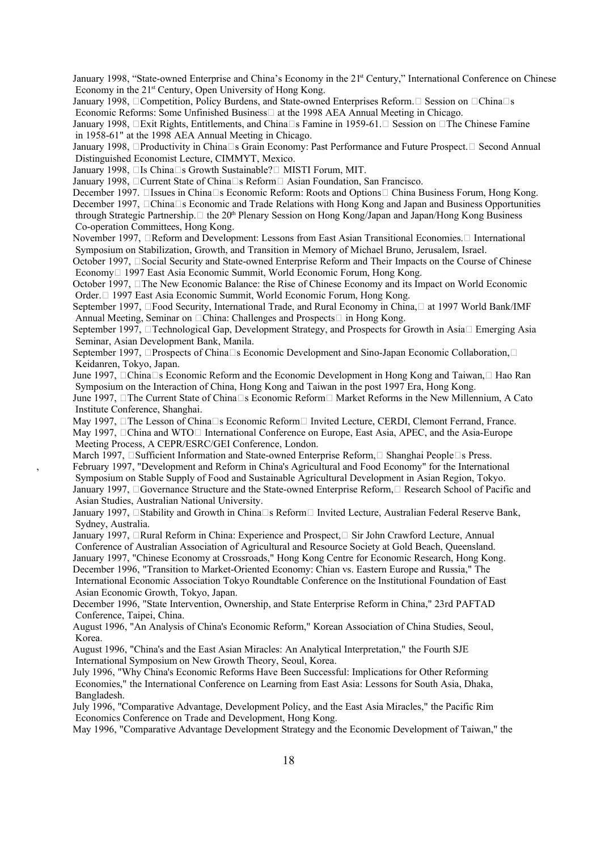January 1998, "State-owned Enterprise and China's Economy in the 2<sup>1st</sup> Century," International Conference on Chinese Economy in the 21<sup>st</sup> Century, Open University of Hong Kong.

January 1998,  $\Box$ Competition, Policy Burdens, and State-owned Enterprises Reform.  $\Box$  Session on  $\Box$ China $\Box$ s Economic Reforms: Some Unfinished Business $\square$  at the 1998 AEA Annual Meeting in Chicago.

January 1998,  $\Box$  Exit Rights, Entitlements, and China $\Box$  Famine in 1959-61.  $\Box$  Session on  $\Box$  The Chinese Famine in 1958-61" at the 1998 AEA Annual Meeting in Chicago.

January 1998, Productivity in China S Grain Economy: Past Performance and Future Prospect. Second Annual Distinguished Economist Lecture, CIMMYT, Mexico.

January 1998,  $\Box$  Is China $\Box$ s Growth Sustainable? $\Box$  MISTI Forum, MIT.

January 1998, Current State of China S Reform Asian Foundation, San Francisco.

December 1997. □Issues in China□s Economic Reform: Roots and Options□ China Business Forum, Hong Kong.

December 1997,  $\Box$ China $\Box$ s Economic and Trade Relations with Hong Kong and Japan and Business Opportunities through Strategic Partnership.  $\Box$  the 20<sup>th</sup> Plenary Session on Hong Kong/Japan and Japan/Hong Kong Business Co-operation Committees, Hong Kong.

November 1997, **Example 1997** and Development: Lessons from East Asian Transitional Economies. International Symposium on Stabilization, Growth, and Transition in Memory of Michael Bruno, Jerusalem, Israel.

October 1997,  $\square$  Social Security and State-owned Enterprise Reform and Their Impacts on the Course of Chinese Economy 1997 East Asia Economic Summit, World Economic Forum, Hong Kong.

October 1997, The New Economic Balance: the Rise of Chinese Economy and its Impact on World Economic Order. 1997 East Asia Economic Summit, World Economic Forum, Hong Kong.

September 1997,  $\Box$  Food Security, International Trade, and Rural Economy in China,  $\Box$  at 1997 World Bank/IMF Annual Meeting, Seminar on  $\Box$ China: Challenges and Prospects $\Box$  in Hong Kong.

September 1997,  $\Box$  Technological Gap, Development Strategy, and Prospects for Growth in Asia  $\Box$  Emerging Asia Seminar, Asian Development Bank, Manila.

September 1997, **Prospects of China** Is Economic Development and Sino-Japan Economic Collaboration, I Keidanren, Tokyo, Japan.

June 1997,  $\Box$ China $\Box$ s Economic Reform and the Economic Development in Hong Kong and Taiwan,  $\Box$  Hao Ran Symposium on the Interaction of China, Hong Kong and Taiwan in the post 1997 Era, Hong Kong.

June 1997,  $\Box$ The Current State of China $\Box$ s Economic Reform $\Box$  Market Reforms in the New Millennium, A Cato Institute Conference, Shanghai.

May 1997,  $\Box$ The Lesson of China $\Box$ s Economic Reform  $\Box$  Invited Lecture, CERDI, Clemont Ferrand, France. May 1997,  $\Box$ China and WTO $\Box$  International Conference on Europe, East Asia, APEC, and the Asia-Europe Meeting Process, A CEPR/ESRC/GEI Conference, London.

March 1997,  $\Box$ Sufficient Information and State-owned Enterprise Reform,  $\Box$  Shanghai People $\Box$ s Press. , February 1997, "Development and Reform in China's Agricultural and Food Economy" for the International Symposium on Stable Supply of Food and Sustainable Agricultural Development in Asian Region, Tokyo. January 1997, Governance Structure and the State-owned Enterprise Reform, Research School of Pacific and Asian Studies, Australian National University.

January 1997, **Stability and Growth in China** S Reform Invited Lecture, Australian Federal Reserve Bank, Sydney, Australia.

January 1997, **Rural Reform in China: Experience and Prospect**, Sir John Crawford Lecture, Annual Conference of Australian Association of Agricultural and Resource Society at Gold Beach, Queensland. January 1997, "Chinese Economy at Crossroads," Hong Kong Centre for Economic Research, Hong Kong.

December 1996, "Transition to Market-Oriented Economy: Chian vs. Eastern Europe and Russia," The International Economic Association Tokyo Roundtable Conference on the Institutional Foundation of East Asian Economic Growth, Tokyo, Japan.

December 1996, "State Intervention, Ownership, and State Enterprise Reform in China," 23rd PAFTAD Conference, Taipei, China.

August 1996, "An Analysis of China's Economic Reform," Korean Association of China Studies, Seoul, Korea.

August 1996, "China's and the East Asian Miracles: An Analytical Interpretation," the Fourth SJE International Symposium on New Growth Theory, Seoul, Korea.

July 1996, "Why China's Economic Reforms Have Been Successful: Implications for Other Reforming Economies," the International Conference on Learning from East Asia: Lessons for South Asia, Dhaka, Bangladesh.

July 1996, "Comparative Advantage, Development Policy, and the East Asia Miracles," the Pacific Rim Economics Conference on Trade and Development, Hong Kong.

May 1996, "Comparative Advantage Development Strategy and the Economic Development of Taiwan," the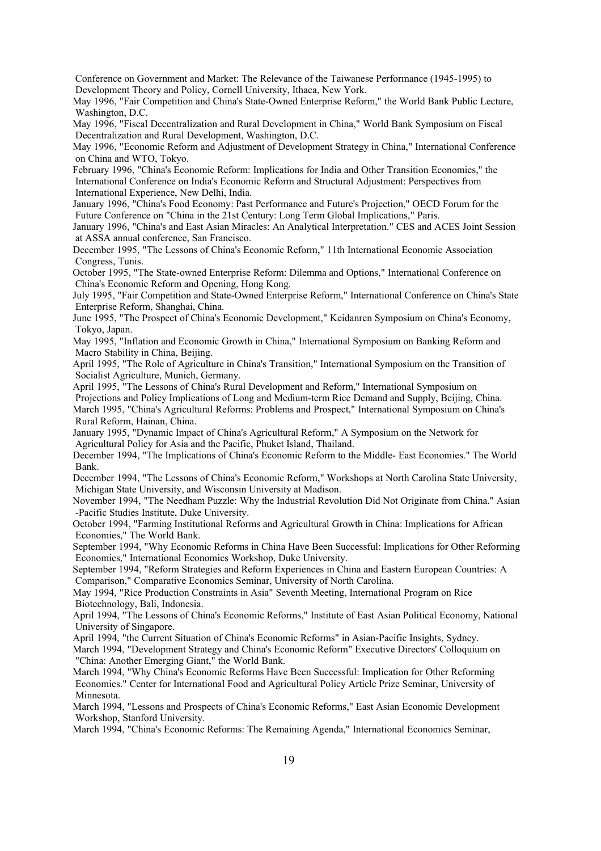Conference on Government and Market: The Relevance of the Taiwanese Performance (1945-1995) to Development Theory and Policy, Cornell University, Ithaca, New York.

May 1996, "Fair Competition and China's State-Owned Enterprise Reform," the World Bank Public Lecture, Washington, D.C.

May 1996, "Fiscal Decentralization and Rural Development in China," World Bank Symposium on Fiscal Decentralization and Rural Development, Washington, D.C.

May 1996, "Economic Reform and Adjustment of Development Strategy in China," International Conference on China and WTO, Tokyo.

February 1996, "China's Economic Reform: Implications for India and Other Transition Economies," the International Conference on India's Economic Reform and Structural Adjustment: Perspectives from International Experience, New Delhi, India.

January 1996, "China's Food Economy: Past Performance and Future's Projection," OECD Forum for the Future Conference on "China in the 21st Century: Long Term Global Implications," Paris.

January 1996, "China's and East Asian Miracles: An Analytical Interpretation." CES and ACES Joint Session at ASSA annual conference, San Francisco.

December 1995, "The Lessons of China's Economic Reform," 11th International Economic Association Congress, Tunis.

October 1995, "The State-owned Enterprise Reform: Dilemma and Options," International Conference on China's Economic Reform and Opening, Hong Kong.

July 1995, "Fair Competition and State-Owned Enterprise Reform," International Conference on China's State Enterprise Reform, Shanghai, China.

June 1995, "The Prospect of China's Economic Development," Keidanren Symposium on China's Economy, Tokyo, Japan.

May 1995, "Inflation and Economic Growth in China," International Symposium on Banking Reform and Macro Stability in China, Beijing.

April 1995, "The Role of Agriculture in China's Transition," International Symposium on the Transition of Socialist Agriculture, Munich, Germany.

April 1995, "The Lessons of China's Rural Development and Reform," International Symposium on Projections and Policy Implications of Long and Medium-term Rice Demand and Supply, Beijing, China. March 1995, "China's Agricultural Reforms: Problems and Prospect," International Symposium on China's Rural Reform, Hainan, China.

January 1995, "Dynamic Impact of China's Agricultural Reform," A Symposium on the Network for Agricultural Policy for Asia and the Pacific, Phuket Island, Thailand.

December 1994, "The Implications of China's Economic Reform to the Middle- East Economies." The World Bank.

December 1994, "The Lessons of China's Economic Reform," Workshops at North Carolina State University, Michigan State University, and Wisconsin University at Madison.

November 1994, "The Needham Puzzle: Why the Industrial Revolution Did Not Originate from China." Asian -Pacific Studies Institute, Duke University.

October 1994, "Farming Institutional Reforms and Agricultural Growth in China: Implications for African Economies," The World Bank.

September 1994, "Why Economic Reforms in China Have Been Successful: Implications for Other Reforming Economies," International Economics Workshop, Duke University.

September 1994, "Reform Strategies and Reform Experiences in China and Eastern European Countries: A Comparison," Comparative Economics Seminar, University of North Carolina.

May 1994, "Rice Production Constraints in Asia" Seventh Meeting, International Program on Rice Biotechnology, Bali, Indonesia.

April 1994, "The Lessons of China's Economic Reforms," Institute of East Asian Political Economy, National University of Singapore.

April 1994, "the Current Situation of China's Economic Reforms" in Asian-Pacific Insights, Sydney.

March 1994, "Development Strategy and China's Economic Reform" Executive Directors' Colloquium on "China: Another Emerging Giant," the World Bank.

March 1994, "Why China's Economic Reforms Have Been Successful: Implication for Other Reforming Economies." Center for International Food and Agricultural Policy Article Prize Seminar, University of Minnesota.

March 1994, "Lessons and Prospects of China's Economic Reforms," East Asian Economic Development Workshop, Stanford University.

March 1994, "China's Economic Reforms: The Remaining Agenda," International Economics Seminar,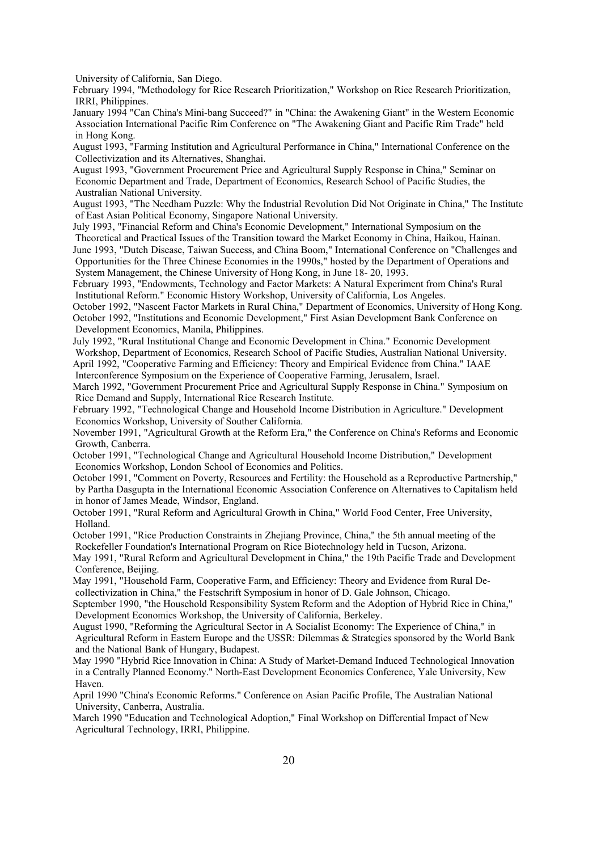University of California, San Diego.

February 1994, "Methodology for Rice Research Prioritization," Workshop on Rice Research Prioritization, IRRI, Philippines.

January 1994 "Can China's Mini-bang Succeed?" in "China: the Awakening Giant" in the Western Economic Association International Pacific Rim Conference on "The Awakening Giant and Pacific Rim Trade" held in Hong Kong.

August 1993, "Farming Institution and Agricultural Performance in China," International Conference on the Collectivization and its Alternatives, Shanghai.

August 1993, "Government Procurement Price and Agricultural Supply Response in China," Seminar on Economic Department and Trade, Department of Economics, Research School of Pacific Studies, the Australian National University.

August 1993, "The Needham Puzzle: Why the Industrial Revolution Did Not Originate in China," The Institute of East Asian Political Economy, Singapore National University.

July 1993, "Financial Reform and China's Economic Development," International Symposium on the Theoretical and Practical Issues of the Transition toward the Market Economy in China, Haikou, Hainan.

June 1993, "Dutch Disease, Taiwan Success, and China Boom," International Conference on "Challenges and Opportunities for the Three Chinese Economies in the 1990s," hosted by the Department of Operations and System Management, the Chinese University of Hong Kong, in June 18- 20, 1993.

February 1993, "Endowments, Technology and Factor Markets: A Natural Experiment from China's Rural Institutional Reform." Economic History Workshop, University of California, Los Angeles.

October 1992, "Nascent Factor Markets in Rural China," Department of Economics, University of Hong Kong. October 1992, "Institutions and Economic Development," First Asian Development Bank Conference on Development Economics, Manila, Philippines.

July 1992, "Rural Institutional Change and Economic Development in China." Economic Development Workshop, Department of Economics, Research School of Pacific Studies, Australian National University. April 1992, "Cooperative Farming and Efficiency: Theory and Empirical Evidence from China." IAAE

Interconference Symposium on the Experience of Cooperative Farming, Jerusalem, Israel.

March 1992, "Government Procurement Price and Agricultural Supply Response in China." Symposium on Rice Demand and Supply, International Rice Research Institute.

February 1992, "Technological Change and Household Income Distribution in Agriculture." Development Economics Workshop, University of Souther California.

November 1991, "Agricultural Growth at the Reform Era," the Conference on China's Reforms and Economic Growth, Canberra.

October 1991, "Technological Change and Agricultural Household Income Distribution," Development Economics Workshop, London School of Economics and Politics.

October 1991, "Comment on Poverty, Resources and Fertility: the Household as a Reproductive Partnership," by Partha Dasgupta in the International Economic Association Conference on Alternatives to Capitalism held in honor of James Meade, Windsor, England.

October 1991, "Rural Reform and Agricultural Growth in China," World Food Center, Free University, Holland.

October 1991, "Rice Production Constraints in Zhejiang Province, China," the 5th annual meeting of the Rockefeller Foundation's International Program on Rice Biotechnology held in Tucson, Arizona.

May 1991, "Rural Reform and Agricultural Development in China," the 19th Pacific Trade and Development Conference, Beijing.

May 1991, "Household Farm, Cooperative Farm, and Efficiency: Theory and Evidence from Rural Decollectivization in China," the Festschrift Symposium in honor of D. Gale Johnson, Chicago.

September 1990, "the Household Responsibility System Reform and the Adoption of Hybrid Rice in China," Development Economics Workshop, the University of California, Berkeley.

August 1990, "Reforming the Agricultural Sector in A Socialist Economy: The Experience of China," in Agricultural Reform in Eastern Europe and the USSR: Dilemmas & Strategies sponsored by the World Bank and the National Bank of Hungary, Budapest.

May 1990 "Hybrid Rice Innovation in China: A Study of Market-Demand Induced Technological Innovation in a Centrally Planned Economy." North-East Development Economics Conference, Yale University, New Haven.

April 1990 "China's Economic Reforms." Conference on Asian Pacific Profile, The Australian National University, Canberra, Australia.

March 1990 "Education and Technological Adoption," Final Workshop on Differential Impact of New Agricultural Technology, IRRI, Philippine.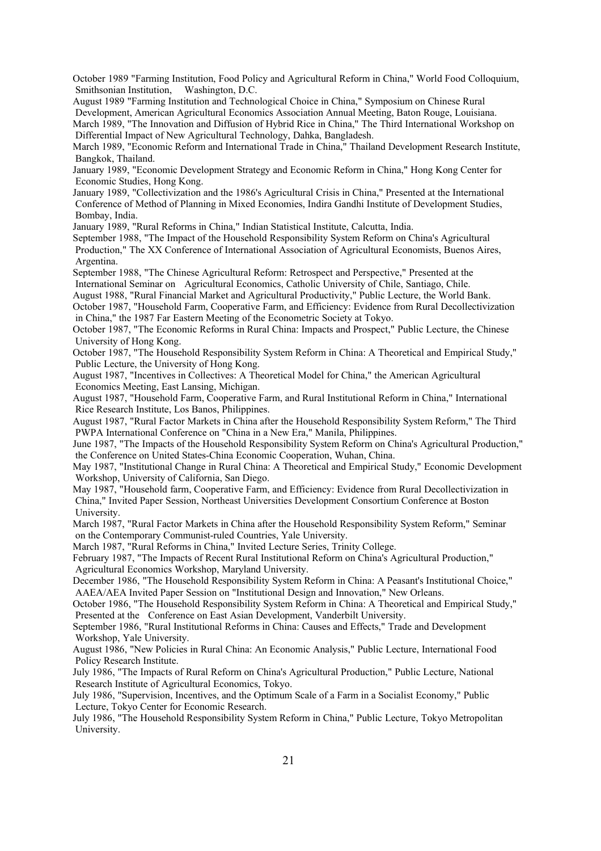October 1989 "Farming Institution, Food Policy and Agricultural Reform in China," World Food Colloquium, Smithsonian Institution, Washington, D.C.

August 1989 "Farming Institution and Technological Choice in China," Symposium on Chinese Rural Development, American Agricultural Economics Association Annual Meeting, Baton Rouge, Louisiana. March 1989, "The Innovation and Diffusion of Hybrid Rice in China," The Third International Workshop on

Differential Impact of New Agricultural Technology, Dahka, Bangladesh.

March 1989, "Economic Reform and International Trade in China," Thailand Development Research Institute, Bangkok, Thailand.

January 1989, "Economic Development Strategy and Economic Reform in China," Hong Kong Center for Economic Studies, Hong Kong.

January 1989, "Collectivization and the 1986's Agricultural Crisis in China," Presented at the International Conference of Method of Planning in Mixed Economies, Indira Gandhi Institute of Development Studies, Bombay, India.

January 1989, "Rural Reforms in China," Indian Statistical Institute, Calcutta, India.

September 1988, "The Impact of the Household Responsibility System Reform on China's Agricultural Production," The XX Conference of International Association of Agricultural Economists, Buenos Aires, Argentina.

September 1988, "The Chinese Agricultural Reform: Retrospect and Perspective," Presented at the International Seminar on Agricultural Economics, Catholic University of Chile, Santiago, Chile.

August 1988, "Rural Financial Market and Agricultural Productivity," Public Lecture, the World Bank. October 1987, "Household Farm, Cooperative Farm, and Efficiency: Evidence from Rural Decollectivization in China," the 1987 Far Eastern Meeting of the Econometric Society at Tokyo.

October 1987, "The Economic Reforms in Rural China: Impacts and Prospect," Public Lecture, the Chinese University of Hong Kong.

October 1987, "The Household Responsibility System Reform in China: A Theoretical and Empirical Study," Public Lecture, the University of Hong Kong.

August 1987, "Incentives in Collectives: A Theoretical Model for China," the American Agricultural Economics Meeting, East Lansing, Michigan.

August 1987, "Household Farm, Cooperative Farm, and Rural Institutional Reform in China," International Rice Research Institute, Los Banos, Philippines.

August 1987, "Rural Factor Markets in China after the Household Responsibility System Reform," The Third PWPA International Conference on "China in a New Era," Manila, Philippines.

June 1987, "The Impacts of the Household Responsibility System Reform on China's Agricultural Production," the Conference on United States-China Economic Cooperation, Wuhan, China.

May 1987, "Institutional Change in Rural China: A Theoretical and Empirical Study," Economic Development Workshop, University of California, San Diego.

May 1987, "Household farm, Cooperative Farm, and Efficiency: Evidence from Rural Decollectivization in China," Invited Paper Session, Northeast Universities Development Consortium Conference at Boston University.

March 1987, "Rural Factor Markets in China after the Household Responsibility System Reform," Seminar on the Contemporary Communist-ruled Countries, Yale University.

March 1987, "Rural Reforms in China," Invited Lecture Series, Trinity College.

February 1987, "The Impacts of Recent Rural Institutional Reform on China's Agricultural Production," Agricultural Economics Workshop, Maryland University.

December 1986, "The Household Responsibility System Reform in China: A Peasant's Institutional Choice," AAEA/AEA Invited Paper Session on "Institutional Design and Innovation," New Orleans.

October 1986, "The Household Responsibility System Reform in China: A Theoretical and Empirical Study," Presented at the Conference on East Asian Development, Vanderbilt University.

September 1986, "Rural Institutional Reforms in China: Causes and Effects," Trade and Development Workshop, Yale University.

August 1986, "New Policies in Rural China: An Economic Analysis," Public Lecture, International Food Policy Research Institute.

July 1986, "The Impacts of Rural Reform on China's Agricultural Production," Public Lecture, National Research Institute of Agricultural Economics, Tokyo.

July 1986, "Supervision, Incentives, and the Optimum Scale of a Farm in a Socialist Economy," Public Lecture, Tokyo Center for Economic Research.

July 1986, "The Household Responsibility System Reform in China," Public Lecture, Tokyo Metropolitan University.